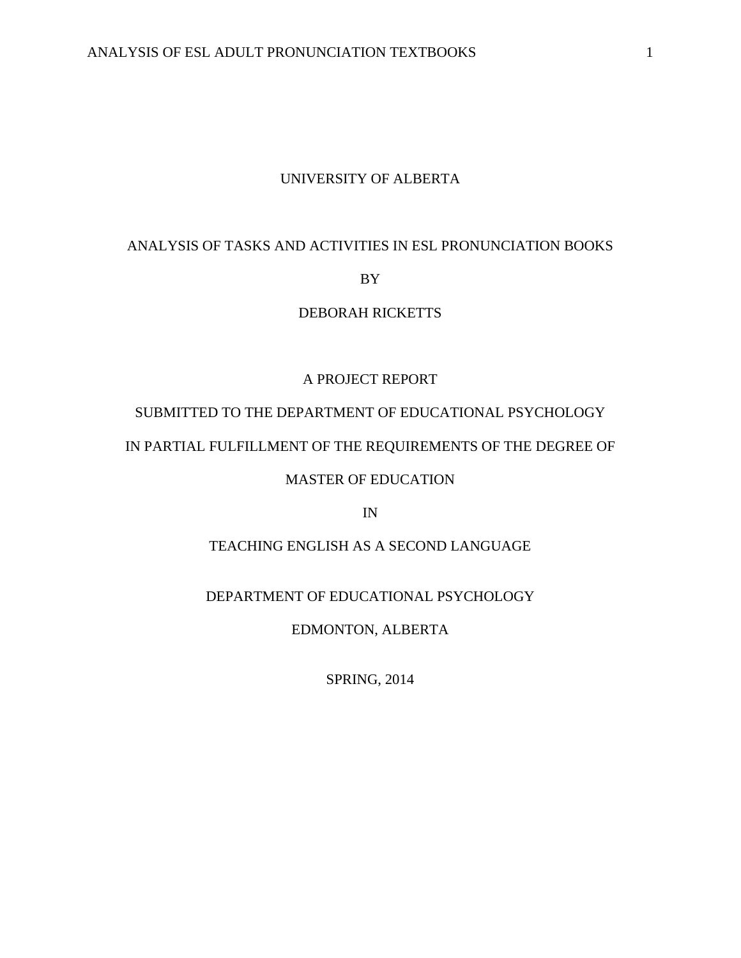## UNIVERSITY OF ALBERTA

## ANALYSIS OF TASKS AND ACTIVITIES IN ESL PRONUNCIATION BOOKS

## BY

# DEBORAH RICKETTS

# A PROJECT REPORT

# SUBMITTED TO THE DEPARTMENT OF EDUCATIONAL PSYCHOLOGY

# IN PARTIAL FULFILLMENT OF THE REQUIREMENTS OF THE DEGREE OF

## MASTER OF EDUCATION

IN

# TEACHING ENGLISH AS A SECOND LANGUAGE

## DEPARTMENT OF EDUCATIONAL PSYCHOLOGY

## EDMONTON, ALBERTA

SPRING, 2014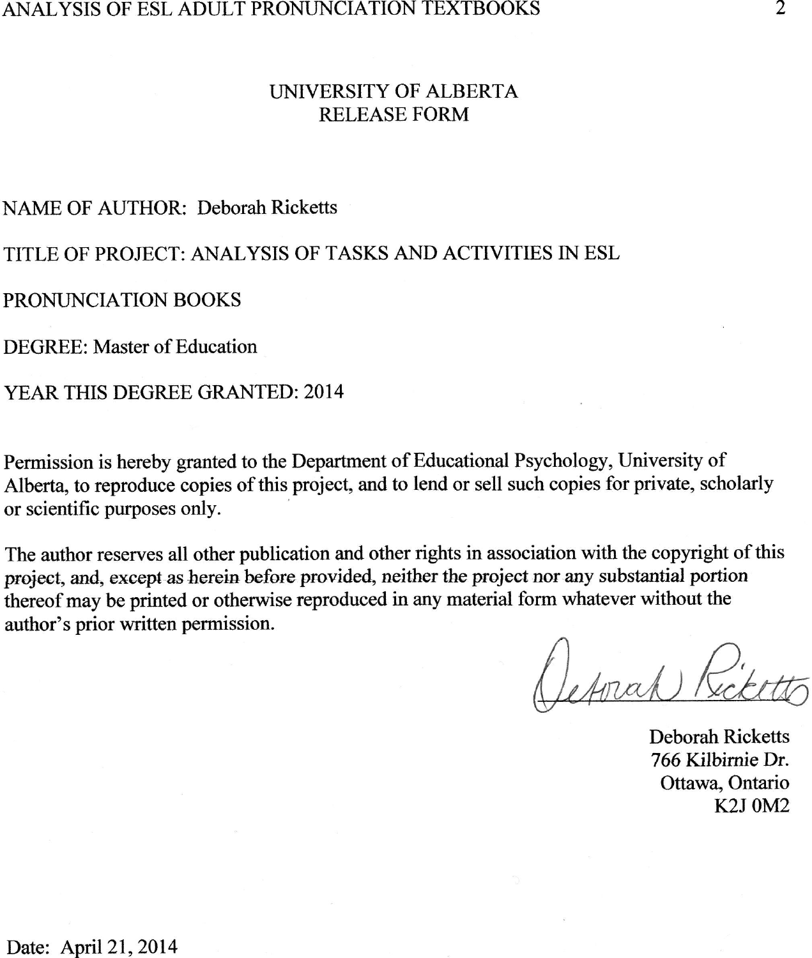#### ANALYSIS OF ESL ADULT PRONUNCIATION TEXTBOOKS

## LINIVERSITY OF ALBERTA RELEASE FORM

### NAME OF AUTHOR: Deborah Ricketts

## TITLE OF PROJECT: ANALYSIS OF TASKS AND ACTIVITIES IN ESL

#### PRONUNCIATION BOOKS

DEGREE: Master of Education

### YEAR THIS DEGREE GRANTED:2014

Permission is hereby granted to the Deparfinent of Educational Psychology, University of Alberta, to reproduce copies of this project, and to lend or sell such copies for private, scholarly or scientific purposes only.

The author reserves all other publication and other rights in association with the copyright of this project, and, except as herein before provided, neither the project nor any substantial portion thereof may be printed or otherwise reproduced in any material form whatever without the author's prior written permission.

(Seprah)!

Deborah Ricketts 766 Kilbirnie Dr. Ottawa, Ontario K2J OMz

Date: April 21, 2014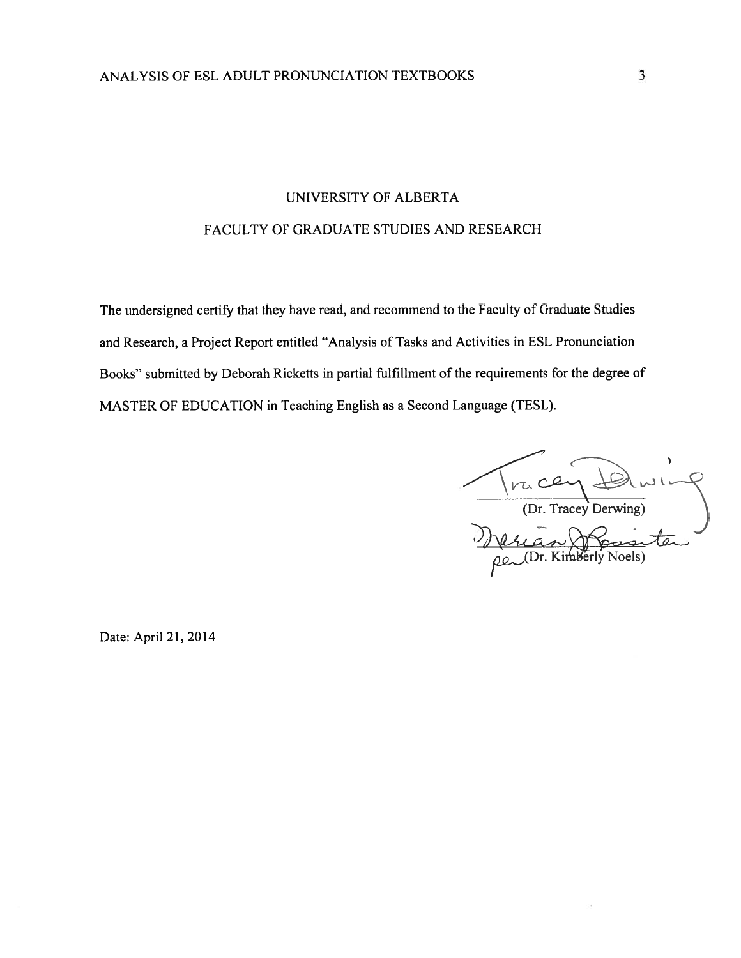# UNIVERSITY OF ALBERTA FACULTY OF GRADUATE STUDIES AND RESEARCH

The undersigned certify that they have read, and recommend to the Faculty of Graduate Studies and Research, a Project Report entitled "Analysis of Tasks and Activities in ESL Pronunciation Books" submitted by Deborah Ricketts in partial fulfillment of the requirements for the degree of MASTER OF EDUCATION in Teaching English as a Second Language (TESL).

1race (Dr. Tracey Derwing)

Date: April 21, 2014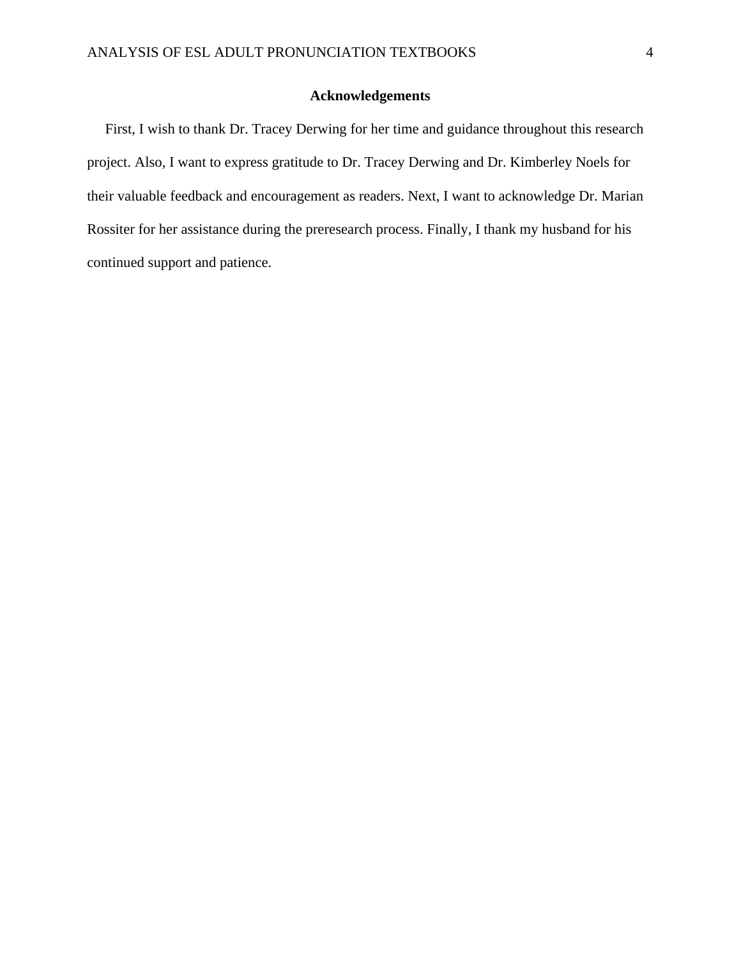## **Acknowledgements**

 First, I wish to thank Dr. Tracey Derwing for her time and guidance throughout this research project. Also, I want to express gratitude to Dr. Tracey Derwing and Dr. Kimberley Noels for their valuable feedback and encouragement as readers. Next, I want to acknowledge Dr. Marian Rossiter for her assistance during the preresearch process. Finally, I thank my husband for his continued support and patience.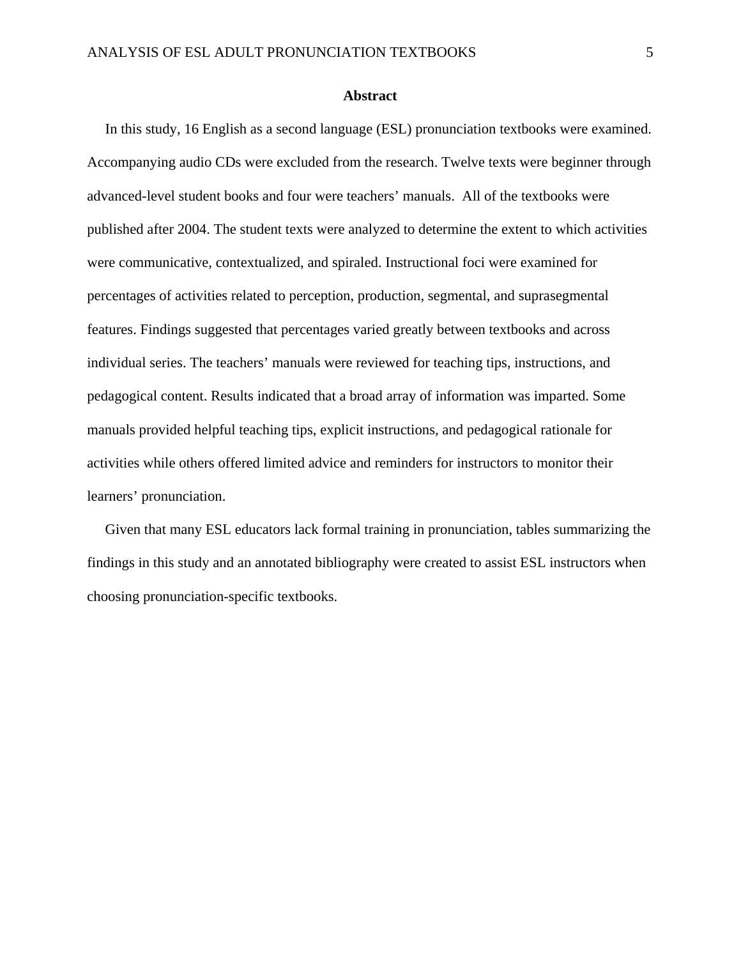### **Abstract**

 In this study, 16 English as a second language (ESL) pronunciation textbooks were examined. Accompanying audio CDs were excluded from the research. Twelve texts were beginner through advanced-level student books and four were teachers' manuals. All of the textbooks were published after 2004. The student texts were analyzed to determine the extent to which activities were communicative, contextualized, and spiraled. Instructional foci were examined for percentages of activities related to perception, production, segmental, and suprasegmental features. Findings suggested that percentages varied greatly between textbooks and across individual series. The teachers' manuals were reviewed for teaching tips, instructions, and pedagogical content. Results indicated that a broad array of information was imparted. Some manuals provided helpful teaching tips, explicit instructions, and pedagogical rationale for activities while others offered limited advice and reminders for instructors to monitor their learners' pronunciation.

 Given that many ESL educators lack formal training in pronunciation, tables summarizing the findings in this study and an annotated bibliography were created to assist ESL instructors when choosing pronunciation-specific textbooks.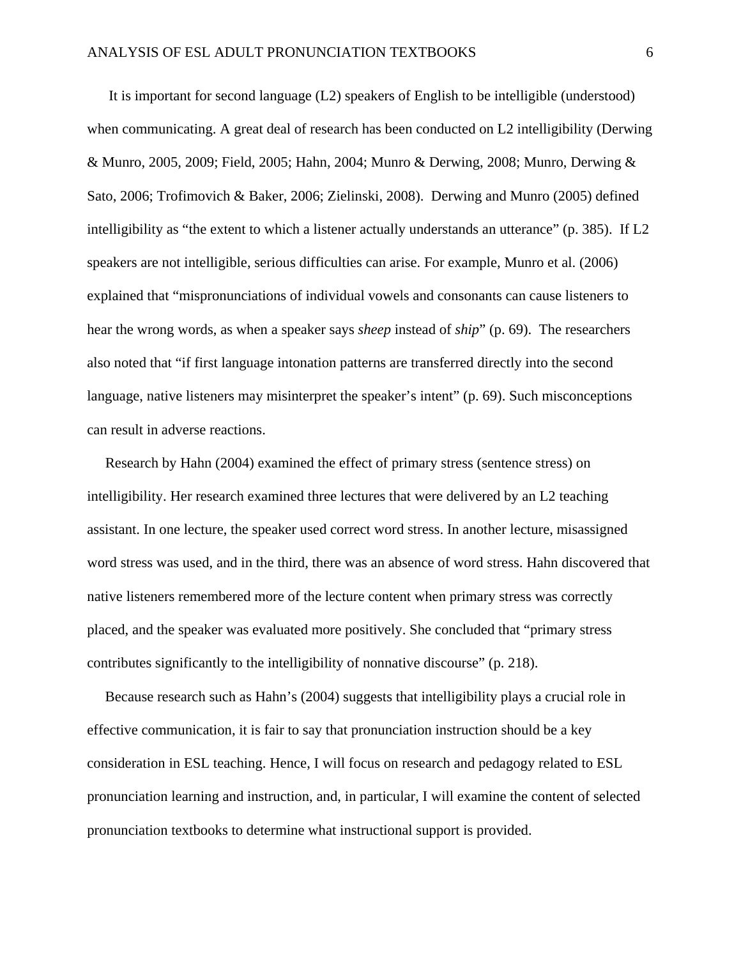It is important for second language (L2) speakers of English to be intelligible (understood) when communicating. A great deal of research has been conducted on L2 intelligibility (Derwing & Munro, 2005, 2009; Field, 2005; Hahn, 2004; Munro & Derwing, 2008; Munro, Derwing & Sato, 2006; Trofimovich & Baker, 2006; Zielinski, 2008). Derwing and Munro (2005) defined intelligibility as "the extent to which a listener actually understands an utterance" (p. 385). If L2 speakers are not intelligible, serious difficulties can arise. For example, Munro et al. (2006) explained that "mispronunciations of individual vowels and consonants can cause listeners to hear the wrong words, as when a speaker says *sheep* instead of *ship*" (p. 69). The researchers also noted that "if first language intonation patterns are transferred directly into the second language, native listeners may misinterpret the speaker's intent" (p. 69). Such misconceptions can result in adverse reactions.

 Research by Hahn (2004) examined the effect of primary stress (sentence stress) on intelligibility. Her research examined three lectures that were delivered by an L2 teaching assistant. In one lecture, the speaker used correct word stress. In another lecture, misassigned word stress was used, and in the third, there was an absence of word stress. Hahn discovered that native listeners remembered more of the lecture content when primary stress was correctly placed, and the speaker was evaluated more positively. She concluded that "primary stress contributes significantly to the intelligibility of nonnative discourse" (p. 218).

 Because research such as Hahn's (2004) suggests that intelligibility plays a crucial role in effective communication, it is fair to say that pronunciation instruction should be a key consideration in ESL teaching. Hence, I will focus on research and pedagogy related to ESL pronunciation learning and instruction, and, in particular, I will examine the content of selected pronunciation textbooks to determine what instructional support is provided.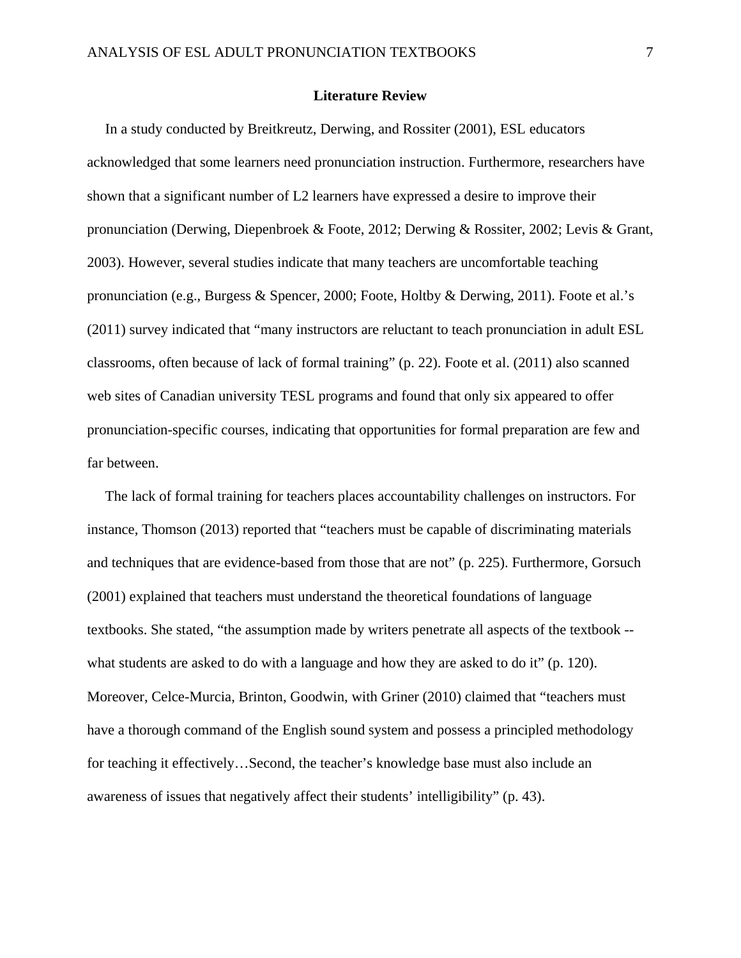### **Literature Review**

 In a study conducted by Breitkreutz, Derwing, and Rossiter (2001), ESL educators acknowledged that some learners need pronunciation instruction. Furthermore, researchers have shown that a significant number of L2 learners have expressed a desire to improve their pronunciation (Derwing, Diepenbroek & Foote, 2012; Derwing & Rossiter, 2002; Levis & Grant, 2003). However, several studies indicate that many teachers are uncomfortable teaching pronunciation (e.g., Burgess & Spencer, 2000; Foote, Holtby & Derwing, 2011). Foote et al.'s (2011) survey indicated that "many instructors are reluctant to teach pronunciation in adult ESL classrooms, often because of lack of formal training" (p. 22). Foote et al. (2011) also scanned web sites of Canadian university TESL programs and found that only six appeared to offer pronunciation-specific courses, indicating that opportunities for formal preparation are few and far between.

 The lack of formal training for teachers places accountability challenges on instructors. For instance, Thomson (2013) reported that "teachers must be capable of discriminating materials and techniques that are evidence-based from those that are not" (p. 225). Furthermore, Gorsuch (2001) explained that teachers must understand the theoretical foundations of language textbooks. She stated, "the assumption made by writers penetrate all aspects of the textbook - what students are asked to do with a language and how they are asked to do it" (p. 120). Moreover, Celce-Murcia, Brinton, Goodwin, with Griner (2010) claimed that "teachers must have a thorough command of the English sound system and possess a principled methodology for teaching it effectively…Second, the teacher's knowledge base must also include an awareness of issues that negatively affect their students' intelligibility" (p. 43).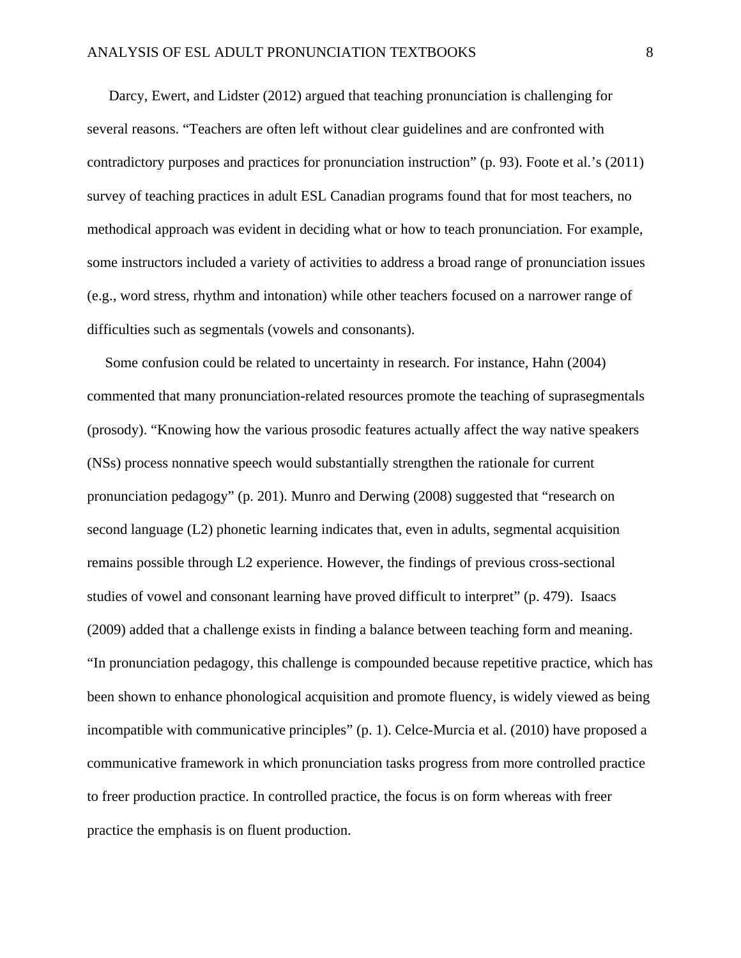Darcy, Ewert, and Lidster (2012) argued that teaching pronunciation is challenging for several reasons. "Teachers are often left without clear guidelines and are confronted with contradictory purposes and practices for pronunciation instruction" (p. 93). Foote et al.'s (2011) survey of teaching practices in adult ESL Canadian programs found that for most teachers, no methodical approach was evident in deciding what or how to teach pronunciation. For example, some instructors included a variety of activities to address a broad range of pronunciation issues (e.g., word stress, rhythm and intonation) while other teachers focused on a narrower range of difficulties such as segmentals (vowels and consonants).

 Some confusion could be related to uncertainty in research. For instance, Hahn (2004) commented that many pronunciation-related resources promote the teaching of suprasegmentals (prosody). "Knowing how the various prosodic features actually affect the way native speakers (NSs) process nonnative speech would substantially strengthen the rationale for current pronunciation pedagogy" (p. 201). Munro and Derwing (2008) suggested that "research on second language (L2) phonetic learning indicates that, even in adults, segmental acquisition remains possible through L2 experience. However, the findings of previous cross-sectional studies of vowel and consonant learning have proved difficult to interpret" (p. 479). Isaacs (2009) added that a challenge exists in finding a balance between teaching form and meaning. "In pronunciation pedagogy, this challenge is compounded because repetitive practice, which has been shown to enhance phonological acquisition and promote fluency, is widely viewed as being incompatible with communicative principles" (p. 1). Celce-Murcia et al. (2010) have proposed a communicative framework in which pronunciation tasks progress from more controlled practice to freer production practice. In controlled practice, the focus is on form whereas with freer practice the emphasis is on fluent production.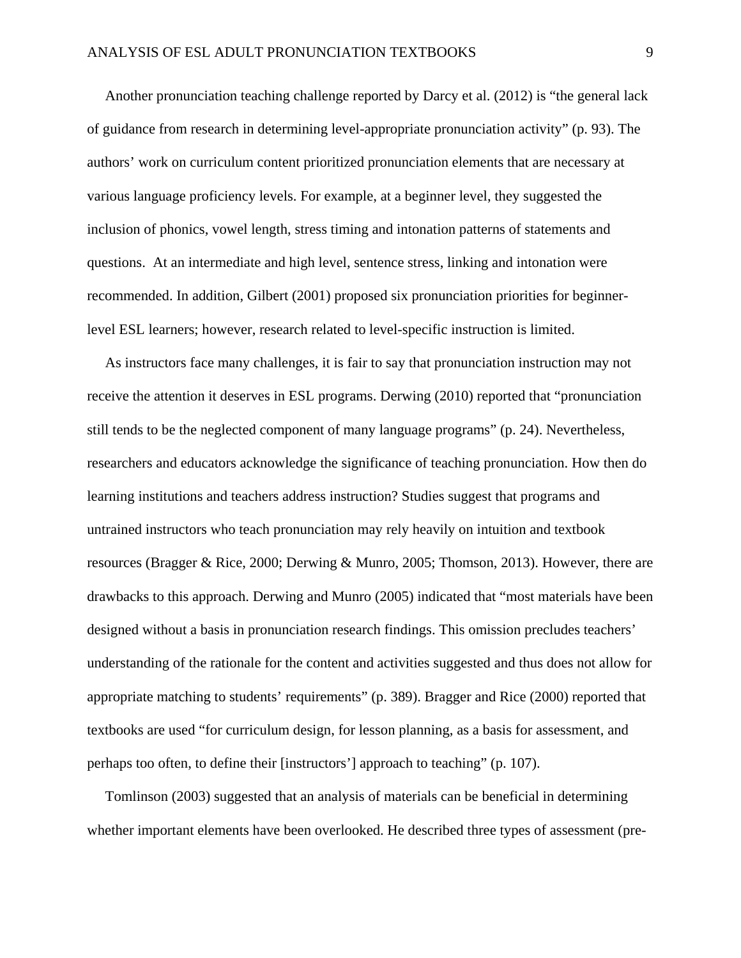Another pronunciation teaching challenge reported by Darcy et al. (2012) is "the general lack of guidance from research in determining level-appropriate pronunciation activity" (p. 93). The authors' work on curriculum content prioritized pronunciation elements that are necessary at various language proficiency levels. For example, at a beginner level, they suggested the inclusion of phonics, vowel length, stress timing and intonation patterns of statements and questions. At an intermediate and high level, sentence stress, linking and intonation were recommended. In addition, Gilbert (2001) proposed six pronunciation priorities for beginnerlevel ESL learners; however, research related to level-specific instruction is limited.

 As instructors face many challenges, it is fair to say that pronunciation instruction may not receive the attention it deserves in ESL programs. Derwing (2010) reported that "pronunciation still tends to be the neglected component of many language programs" (p. 24). Nevertheless, researchers and educators acknowledge the significance of teaching pronunciation. How then do learning institutions and teachers address instruction? Studies suggest that programs and untrained instructors who teach pronunciation may rely heavily on intuition and textbook resources (Bragger & Rice, 2000; Derwing & Munro, 2005; Thomson, 2013). However, there are drawbacks to this approach. Derwing and Munro (2005) indicated that "most materials have been designed without a basis in pronunciation research findings. This omission precludes teachers' understanding of the rationale for the content and activities suggested and thus does not allow for appropriate matching to students' requirements" (p. 389). Bragger and Rice (2000) reported that textbooks are used "for curriculum design, for lesson planning, as a basis for assessment, and perhaps too often, to define their [instructors'] approach to teaching" (p. 107).

 Tomlinson (2003) suggested that an analysis of materials can be beneficial in determining whether important elements have been overlooked. He described three types of assessment (pre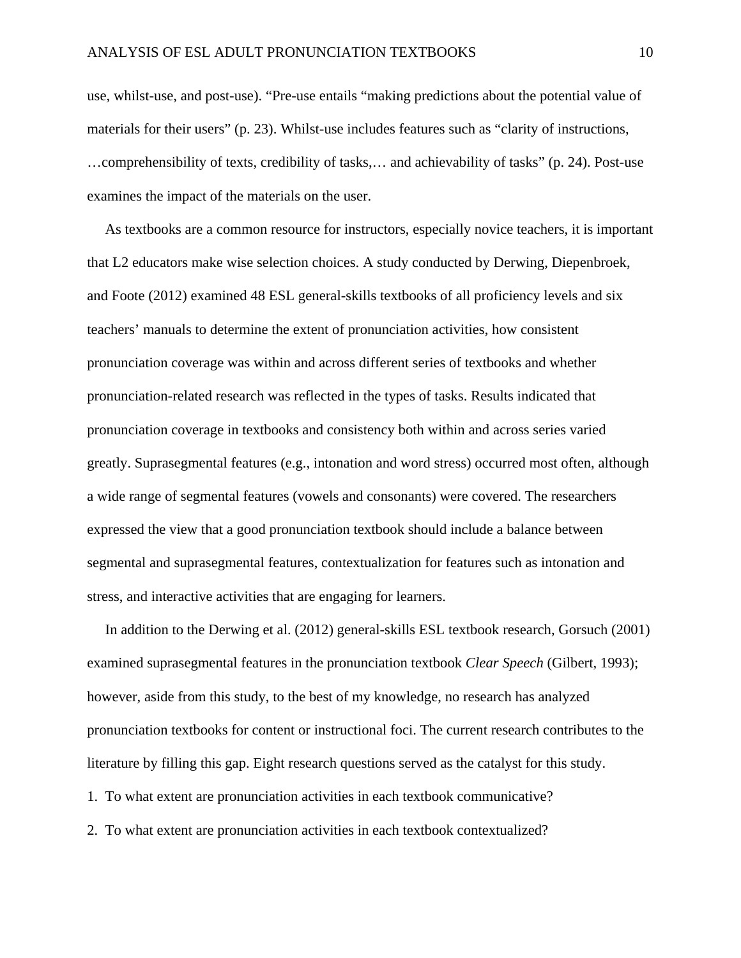use, whilst-use, and post-use). "Pre-use entails "making predictions about the potential value of materials for their users" (p. 23). Whilst-use includes features such as "clarity of instructions, …comprehensibility of texts, credibility of tasks,… and achievability of tasks" (p. 24). Post-use examines the impact of the materials on the user.

 As textbooks are a common resource for instructors, especially novice teachers, it is important that L2 educators make wise selection choices. A study conducted by Derwing, Diepenbroek, and Foote (2012) examined 48 ESL general-skills textbooks of all proficiency levels and six teachers' manuals to determine the extent of pronunciation activities, how consistent pronunciation coverage was within and across different series of textbooks and whether pronunciation-related research was reflected in the types of tasks. Results indicated that pronunciation coverage in textbooks and consistency both within and across series varied greatly. Suprasegmental features (e.g., intonation and word stress) occurred most often, although a wide range of segmental features (vowels and consonants) were covered. The researchers expressed the view that a good pronunciation textbook should include a balance between segmental and suprasegmental features, contextualization for features such as intonation and stress, and interactive activities that are engaging for learners.

 In addition to the Derwing et al. (2012) general-skills ESL textbook research, Gorsuch (2001) examined suprasegmental features in the pronunciation textbook *Clear Speech* (Gilbert, 1993); however, aside from this study, to the best of my knowledge, no research has analyzed pronunciation textbooks for content or instructional foci. The current research contributes to the literature by filling this gap. Eight research questions served as the catalyst for this study. 1. To what extent are pronunciation activities in each textbook communicative?

2. To what extent are pronunciation activities in each textbook contextualized?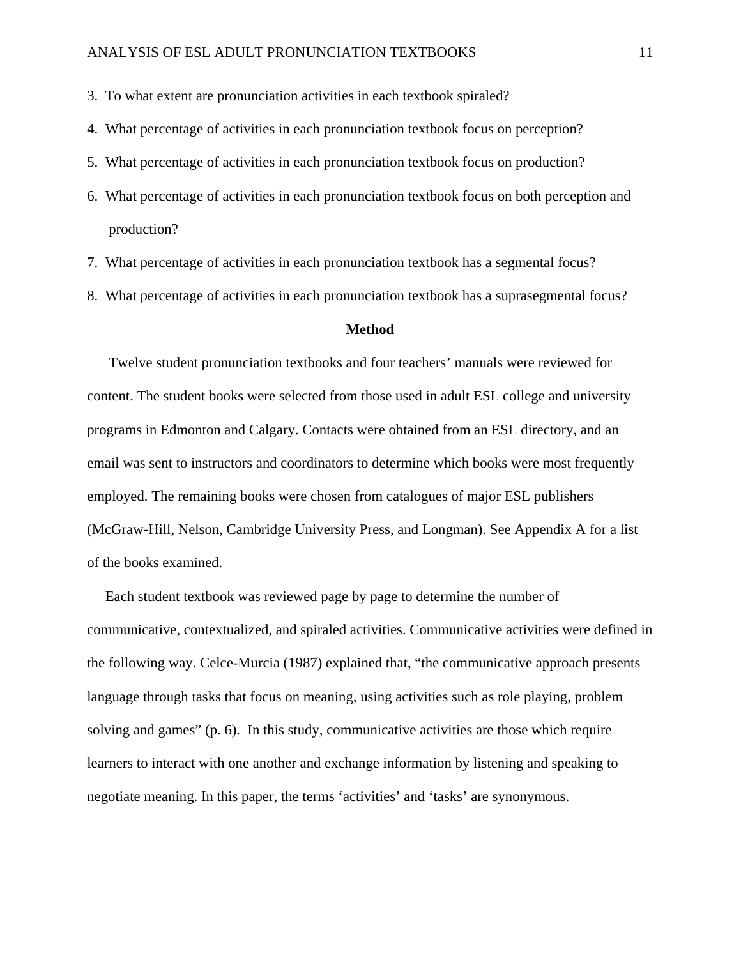3. To what extent are pronunciation activities in each textbook spiraled?

- 4. What percentage of activities in each pronunciation textbook focus on perception?
- 5. What percentage of activities in each pronunciation textbook focus on production?
- 6. What percentage of activities in each pronunciation textbook focus on both perception and production?
- 7. What percentage of activities in each pronunciation textbook has a segmental focus?
- 8. What percentage of activities in each pronunciation textbook has a suprasegmental focus?

### **Method**

 Twelve student pronunciation textbooks and four teachers' manuals were reviewed for content. The student books were selected from those used in adult ESL college and university programs in Edmonton and Calgary. Contacts were obtained from an ESL directory, and an email was sent to instructors and coordinators to determine which books were most frequently employed. The remaining books were chosen from catalogues of major ESL publishers (McGraw-Hill, Nelson, Cambridge University Press, and Longman). See Appendix A for a list of the books examined.

 Each student textbook was reviewed page by page to determine the number of communicative, contextualized, and spiraled activities. Communicative activities were defined in the following way. Celce-Murcia (1987) explained that, "the communicative approach presents language through tasks that focus on meaning, using activities such as role playing, problem solving and games" (p. 6). In this study, communicative activities are those which require learners to interact with one another and exchange information by listening and speaking to negotiate meaning. In this paper, the terms 'activities' and 'tasks' are synonymous.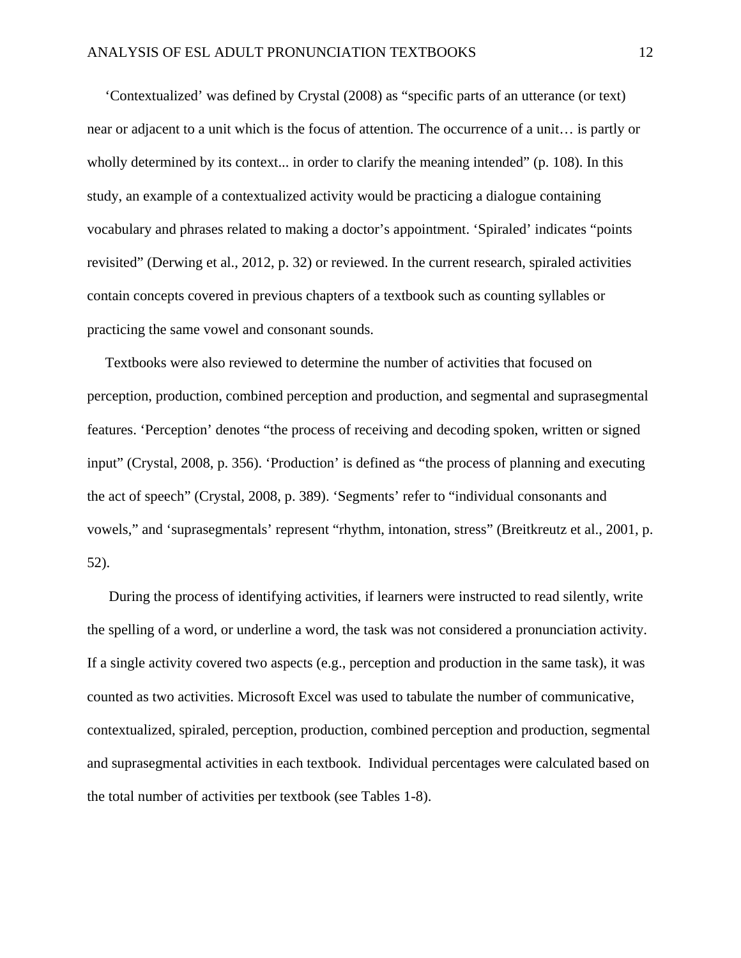'Contextualized' was defined by Crystal (2008) as "specific parts of an utterance (or text) near or adjacent to a unit which is the focus of attention. The occurrence of a unit… is partly or wholly determined by its context... in order to clarify the meaning intended" (p. 108). In this study, an example of a contextualized activity would be practicing a dialogue containing vocabulary and phrases related to making a doctor's appointment. 'Spiraled' indicates "points revisited" (Derwing et al., 2012, p. 32) or reviewed. In the current research, spiraled activities contain concepts covered in previous chapters of a textbook such as counting syllables or practicing the same vowel and consonant sounds.

 Textbooks were also reviewed to determine the number of activities that focused on perception, production, combined perception and production, and segmental and suprasegmental features. 'Perception' denotes "the process of receiving and decoding spoken, written or signed input" (Crystal, 2008, p. 356). 'Production' is defined as "the process of planning and executing the act of speech" (Crystal, 2008, p. 389). 'Segments' refer to "individual consonants and vowels," and 'suprasegmentals' represent "rhythm, intonation, stress" (Breitkreutz et al., 2001, p. 52).

 During the process of identifying activities, if learners were instructed to read silently, write the spelling of a word, or underline a word, the task was not considered a pronunciation activity. If a single activity covered two aspects (e.g., perception and production in the same task), it was counted as two activities. Microsoft Excel was used to tabulate the number of communicative, contextualized, spiraled, perception, production, combined perception and production, segmental and suprasegmental activities in each textbook. Individual percentages were calculated based on the total number of activities per textbook (see Tables 1-8).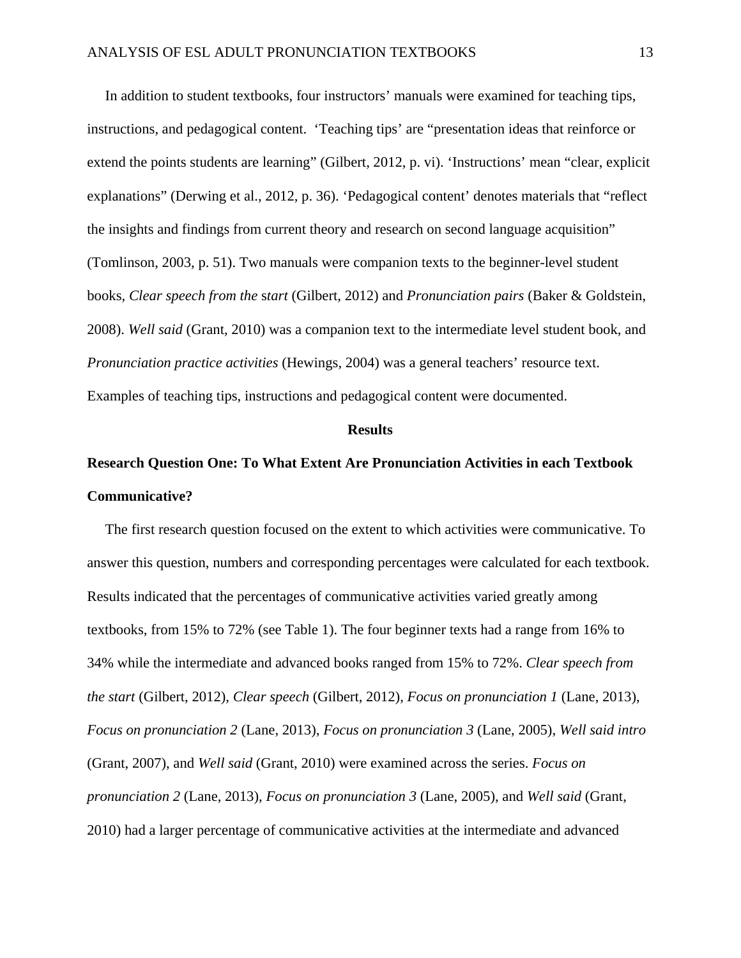In addition to student textbooks, four instructors' manuals were examined for teaching tips, instructions, and pedagogical content. 'Teaching tips' are "presentation ideas that reinforce or extend the points students are learning" (Gilbert, 2012, p. vi). 'Instructions' mean "clear, explicit explanations" (Derwing et al., 2012, p. 36). 'Pedagogical content' denotes materials that "reflect the insights and findings from current theory and research on second language acquisition" (Tomlinson, 2003, p. 51). Two manuals were companion texts to the beginner-level student books, *Clear speech from the* s*tart* (Gilbert, 2012) and *Pronunciation pairs* (Baker & Goldstein, 2008). *Well said* (Grant, 2010) was a companion text to the intermediate level student book, and *Pronunciation practice activities* (Hewings, 2004) was a general teachers' resource text. Examples of teaching tips, instructions and pedagogical content were documented.

#### **Results**

# **Research Question One: To What Extent Are Pronunciation Activities in each Textbook Communicative?**

 The first research question focused on the extent to which activities were communicative. To answer this question, numbers and corresponding percentages were calculated for each textbook. Results indicated that the percentages of communicative activities varied greatly among textbooks, from 15% to 72% (see Table 1). The four beginner texts had a range from 16% to 34% while the intermediate and advanced books ranged from 15% to 72%. *Clear speech from the start* (Gilbert, 2012), *Clear speech* (Gilbert, 2012), *Focus on pronunciation 1* (Lane, 2013), *Focus on pronunciation 2* (Lane, 2013), *Focus on pronunciation 3* (Lane, 2005), *Well said intro* (Grant, 2007), and *Well said* (Grant, 2010) were examined across the series. *Focus on pronunciation 2* (Lane, 2013), *Focus on pronunciation 3* (Lane, 2005), and *Well said* (Grant, 2010) had a larger percentage of communicative activities at the intermediate and advanced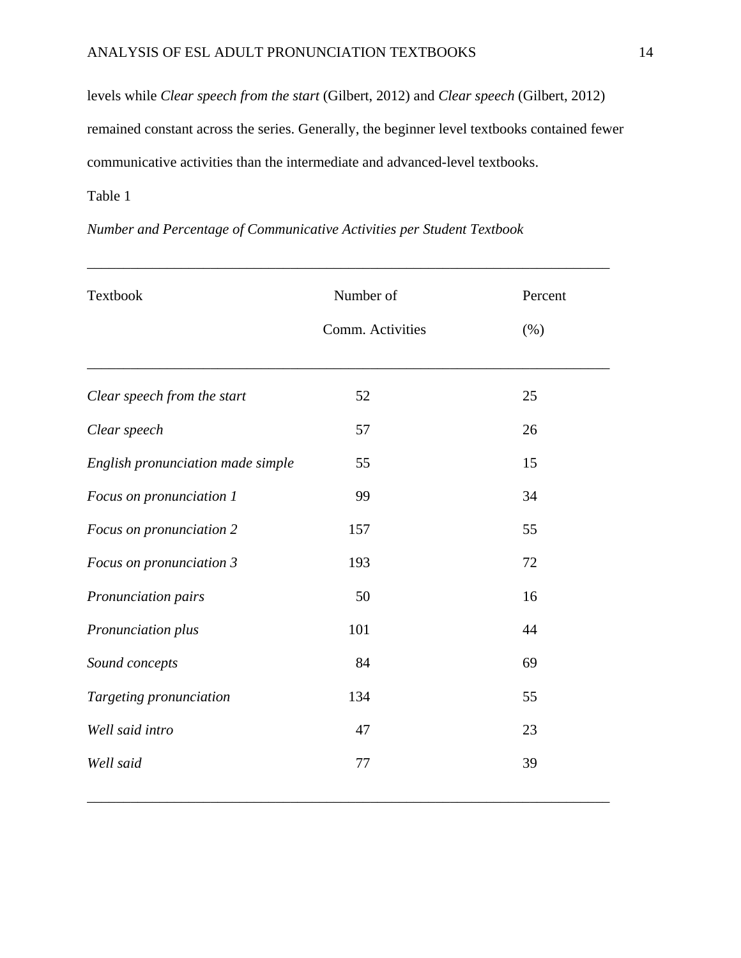levels while *Clear speech from the start* (Gilbert, 2012) and *Clear speech* (Gilbert, 2012) remained constant across the series. Generally, the beginner level textbooks contained fewer communicative activities than the intermediate and advanced-level textbooks.

\_\_\_\_\_\_\_\_\_\_\_\_\_\_\_\_\_\_\_\_\_\_\_\_\_\_\_\_\_\_\_\_\_\_\_\_\_\_\_\_\_\_\_\_\_\_\_\_\_\_\_\_\_\_\_\_\_\_\_\_\_\_\_\_\_\_\_\_\_\_\_\_

# Table 1

| Textbook                          | Number of        | Percent |
|-----------------------------------|------------------|---------|
|                                   | Comm. Activities | (% )    |
| Clear speech from the start       | 52               | 25      |
| Clear speech                      | 57               | 26      |
| English pronunciation made simple | 55               | 15      |
| Focus on pronunciation 1          | 99               | 34      |
| Focus on pronunciation 2          | 157              | 55      |
| Focus on pronunciation 3          | 193              | 72      |
| Pronunciation pairs               | 50               | 16      |
| Pronunciation plus                | 101              | 44      |
| Sound concepts                    | 84               | 69      |
| Targeting pronunciation           | 134              | 55      |
| Well said intro                   | 47               | 23      |
| Well said                         | 77               | 39      |

# *Number and Percentage of Communicative Activities per Student Textbook*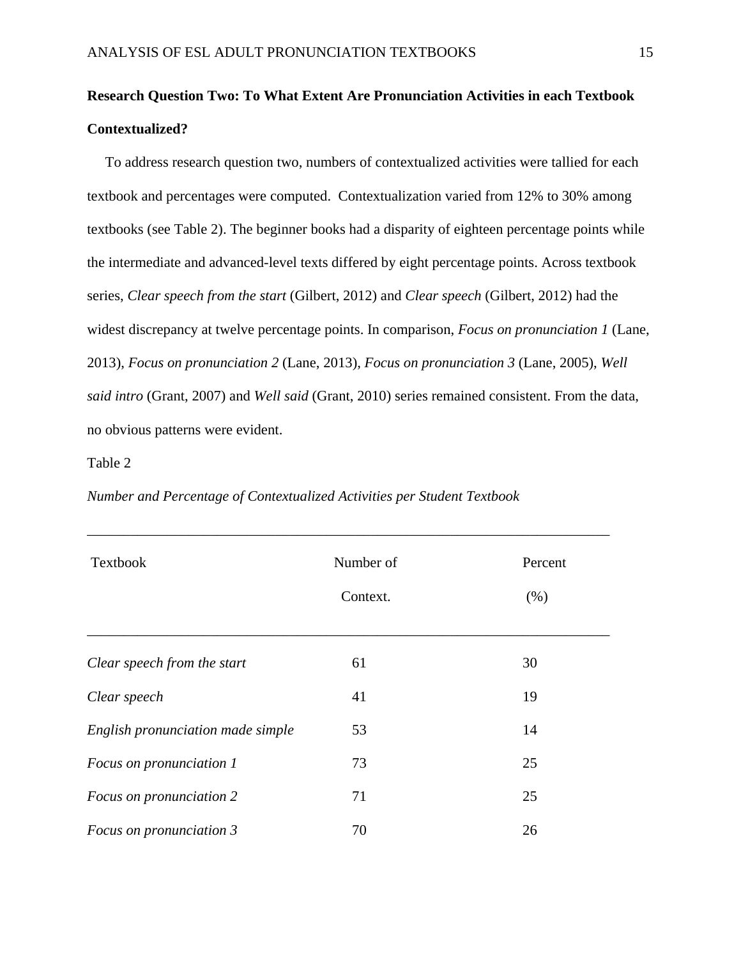# **Research Question Two: To What Extent Are Pronunciation Activities in each Textbook Contextualized?**

 To address research question two, numbers of contextualized activities were tallied for each textbook and percentages were computed. Contextualization varied from 12% to 30% among textbooks (see Table 2). The beginner books had a disparity of eighteen percentage points while the intermediate and advanced-level texts differed by eight percentage points. Across textbook series, *Clear speech from the start* (Gilbert, 2012) and *Clear speech* (Gilbert, 2012) had the widest discrepancy at twelve percentage points. In comparison, *Focus on pronunciation 1* (Lane, 2013), *Focus on pronunciation 2* (Lane, 2013), *Focus on pronunciation 3* (Lane, 2005), *Well said intro* (Grant, 2007) and *Well said* (Grant, 2010) series remained consistent. From the data, no obvious patterns were evident.

### Table 2

| <b>Textbook</b>                   | Number of<br>Context. | Percent<br>(% ) |
|-----------------------------------|-----------------------|-----------------|
| Clear speech from the start       | 61                    | 30              |
| Clear speech                      | 41                    | 19              |
| English pronunciation made simple | 53                    | 14              |
| Focus on pronunciation 1          | 73                    | 25              |
| Focus on pronunciation 2          | 71                    | 25              |
| Focus on pronunciation 3          | 70                    | 26              |

## *Number and Percentage of Contextualized Activities per Student Textbook*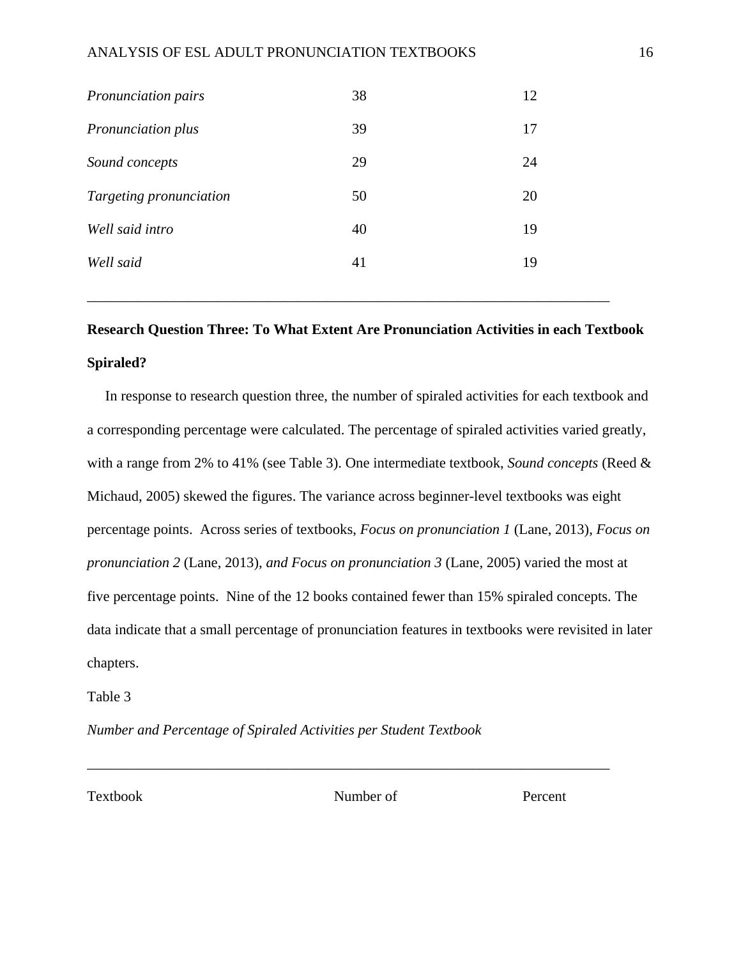| Pronunciation pairs     | 38 | 12 |
|-------------------------|----|----|
| Pronunciation plus      | 39 | 17 |
| Sound concepts          | 29 | 24 |
| Targeting pronunciation | 50 | 20 |
| Well said intro         | 40 | 19 |
| Well said               | 41 | 19 |
|                         |    |    |

# **Research Question Three: To What Extent Are Pronunciation Activities in each Textbook Spiraled?**

 In response to research question three, the number of spiraled activities for each textbook and a corresponding percentage were calculated. The percentage of spiraled activities varied greatly, with a range from 2% to 41% (see Table 3). One intermediate textbook, *Sound concepts* (Reed & Michaud, 2005) skewed the figures. The variance across beginner-level textbooks was eight percentage points. Across series of textbooks, *Focus on pronunciation 1* (Lane, 2013), *Focus on pronunciation 2* (Lane, 2013), *and Focus on pronunciation 3* (Lane, 2005) varied the most at five percentage points. Nine of the 12 books contained fewer than 15% spiraled concepts. The data indicate that a small percentage of pronunciation features in textbooks were revisited in later chapters.

Table 3

*Number and Percentage of Spiraled Activities per Student Textbook* 

Textbook Number of Percent

\_\_\_\_\_\_\_\_\_\_\_\_\_\_\_\_\_\_\_\_\_\_\_\_\_\_\_\_\_\_\_\_\_\_\_\_\_\_\_\_\_\_\_\_\_\_\_\_\_\_\_\_\_\_\_\_\_\_\_\_\_\_\_\_\_\_\_\_\_\_\_\_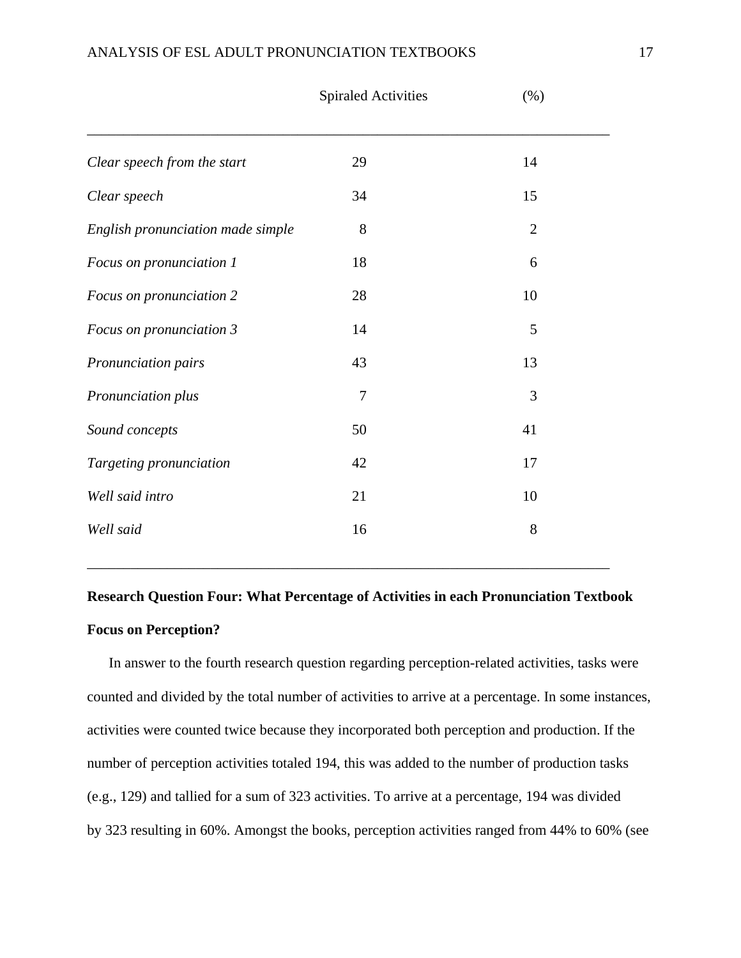|                                   | <b>Spiraled Activities</b> | $(\% )$        |  |
|-----------------------------------|----------------------------|----------------|--|
| Clear speech from the start       | 29                         | 14             |  |
| Clear speech                      | 34                         | 15             |  |
| English pronunciation made simple | 8                          | $\overline{2}$ |  |
| Focus on pronunciation 1          | 18                         | 6              |  |
| Focus on pronunciation 2          | 28                         | 10             |  |
| Focus on pronunciation 3          | 14                         | 5              |  |
| Pronunciation pairs               | 43                         | 13             |  |
| Pronunciation plus                | $\tau$                     | 3              |  |
| Sound concepts                    | 50                         | 41             |  |
| Targeting pronunciation           | 42                         | 17             |  |
| Well said intro                   | 21                         | 10             |  |
| Well said                         | 16                         | 8              |  |
|                                   |                            |                |  |

# **Research Question Four: What Percentage of Activities in each Pronunciation Textbook Focus on Perception?**

\_\_\_\_\_\_\_\_\_\_\_\_\_\_\_\_\_\_\_\_\_\_\_\_\_\_\_\_\_\_\_\_\_\_\_\_\_\_\_\_\_\_\_\_\_\_\_\_\_\_\_\_\_\_\_\_\_\_\_\_\_\_\_\_\_\_\_\_\_\_\_\_

 In answer to the fourth research question regarding perception-related activities, tasks were counted and divided by the total number of activities to arrive at a percentage. In some instances, activities were counted twice because they incorporated both perception and production. If the number of perception activities totaled 194, this was added to the number of production tasks (e.g., 129) and tallied for a sum of 323 activities. To arrive at a percentage, 194 was divided by 323 resulting in 60%. Amongst the books, perception activities ranged from 44% to 60% (see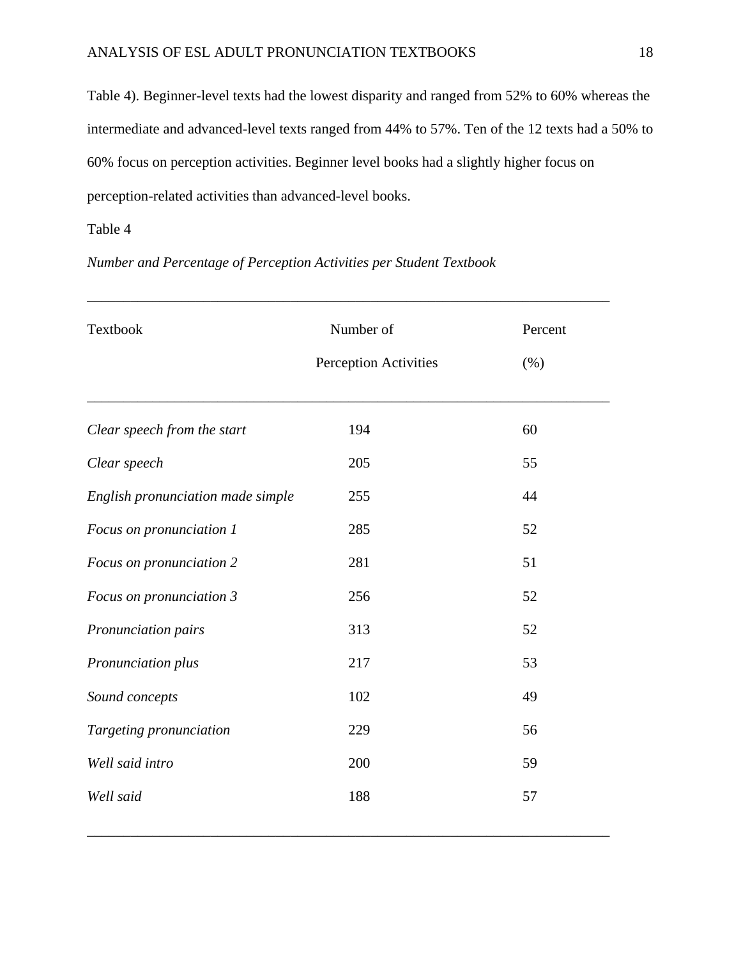Table 4). Beginner-level texts had the lowest disparity and ranged from 52% to 60% whereas the intermediate and advanced-level texts ranged from 44% to 57%. Ten of the 12 texts had a 50% to 60% focus on perception activities. Beginner level books had a slightly higher focus on perception-related activities than advanced-level books.

\_\_\_\_\_\_\_\_\_\_\_\_\_\_\_\_\_\_\_\_\_\_\_\_\_\_\_\_\_\_\_\_\_\_\_\_\_\_\_\_\_\_\_\_\_\_\_\_\_\_\_\_\_\_\_\_\_\_\_\_\_\_\_\_\_\_\_\_\_\_\_\_

# Table 4

*Number and Percentage of Perception Activities per Student Textbook* 

| Textbook                          | Number of             | Percent |
|-----------------------------------|-----------------------|---------|
|                                   | Perception Activities | (% )    |
| Clear speech from the start       | 194                   | 60      |
| Clear speech                      | 205                   | 55      |
| English pronunciation made simple | 255                   | 44      |
| Focus on pronunciation 1          | 285                   | 52      |
| Focus on pronunciation 2          | 281                   | 51      |
| Focus on pronunciation 3          | 256                   | 52      |
| Pronunciation pairs               | 313                   | 52      |
| Pronunciation plus                | 217                   | 53      |
| Sound concepts                    | 102                   | 49      |
| Targeting pronunciation           | 229                   | 56      |
| Well said intro                   | 200                   | 59      |
| Well said                         | 188                   | 57      |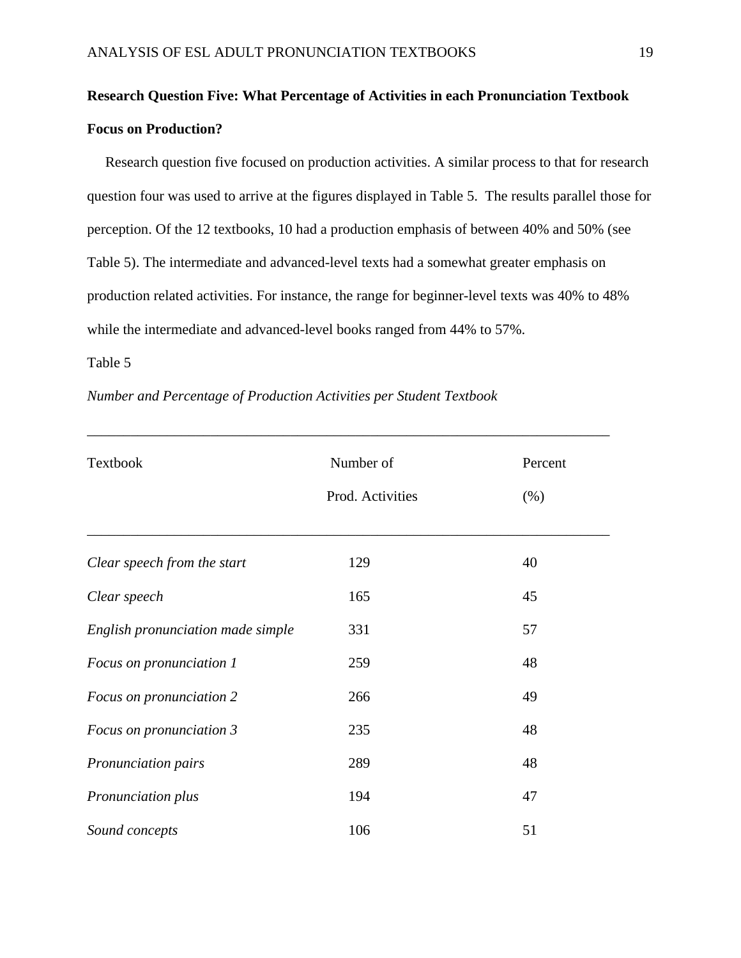# **Research Question Five: What Percentage of Activities in each Pronunciation Textbook Focus on Production?**

 Research question five focused on production activities. A similar process to that for research question four was used to arrive at the figures displayed in Table 5. The results parallel those for perception. Of the 12 textbooks, 10 had a production emphasis of between 40% and 50% (see Table 5). The intermediate and advanced-level texts had a somewhat greater emphasis on production related activities. For instance, the range for beginner-level texts was 40% to 48% while the intermediate and advanced-level books ranged from 44% to 57%.

## Table 5

|  | Number and Percentage of Production Activities per Student Textbook |  |
|--|---------------------------------------------------------------------|--|
|--|---------------------------------------------------------------------|--|

| Textbook                          | Number of<br>Prod. Activities | Percent<br>(% ) |
|-----------------------------------|-------------------------------|-----------------|
| Clear speech from the start       | 129                           | 40              |
| Clear speech                      | 165                           | 45              |
| English pronunciation made simple | 331                           | 57              |
| Focus on pronunciation 1          | 259                           | 48              |
| Focus on pronunciation 2          | 266                           | 49              |
| Focus on pronunciation 3          | 235                           | 48              |
| Pronunciation pairs               | 289                           | 48              |
| Pronunciation plus                | 194                           | 47              |
| Sound concepts                    | 106                           | 51              |

\_\_\_\_\_\_\_\_\_\_\_\_\_\_\_\_\_\_\_\_\_\_\_\_\_\_\_\_\_\_\_\_\_\_\_\_\_\_\_\_\_\_\_\_\_\_\_\_\_\_\_\_\_\_\_\_\_\_\_\_\_\_\_\_\_\_\_\_\_\_\_\_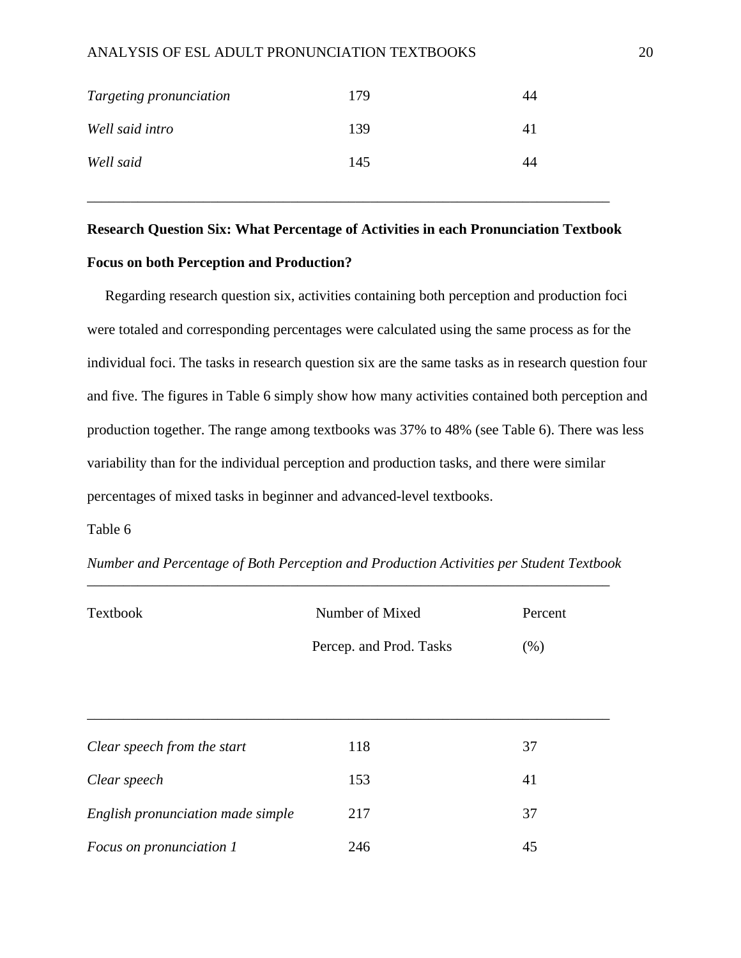| Targeting pronunciation | 179 | 44 |
|-------------------------|-----|----|
| Well said intro         | 139 | 41 |
| Well said               | 145 | 44 |

# **Research Question Six: What Percentage of Activities in each Pronunciation Textbook Focus on both Perception and Production?**

\_\_\_\_\_\_\_\_\_\_\_\_\_\_\_\_\_\_\_\_\_\_\_\_\_\_\_\_\_\_\_\_\_\_\_\_\_\_\_\_\_\_\_\_\_\_\_\_\_\_\_\_\_\_\_\_\_\_\_\_\_\_\_\_\_\_\_\_\_\_\_\_

 Regarding research question six, activities containing both perception and production foci were totaled and corresponding percentages were calculated using the same process as for the individual foci. The tasks in research question six are the same tasks as in research question four and five. The figures in Table 6 simply show how many activities contained both perception and production together. The range among textbooks was 37% to 48% (see Table 6). There was less variability than for the individual perception and production tasks, and there were similar percentages of mixed tasks in beginner and advanced-level textbooks.

### Table 6

| Textbook                          | Number of Mixed         | Percent |
|-----------------------------------|-------------------------|---------|
|                                   | Percep. and Prod. Tasks | (% )    |
|                                   |                         |         |
|                                   |                         |         |
| Clear speech from the start       | 118                     | 37      |
| Clear speech                      | 153                     | 41      |
| English pronunciation made simple | 217                     | 37      |
| Focus on pronunciation 1          | 246                     | 45      |

*Number and Percentage of Both Perception and Production Activities per Student Textbook*  \_\_\_\_\_\_\_\_\_\_\_\_\_\_\_\_\_\_\_\_\_\_\_\_\_\_\_\_\_\_\_\_\_\_\_\_\_\_\_\_\_\_\_\_\_\_\_\_\_\_\_\_\_\_\_\_\_\_\_\_\_\_\_\_\_\_\_\_\_\_\_\_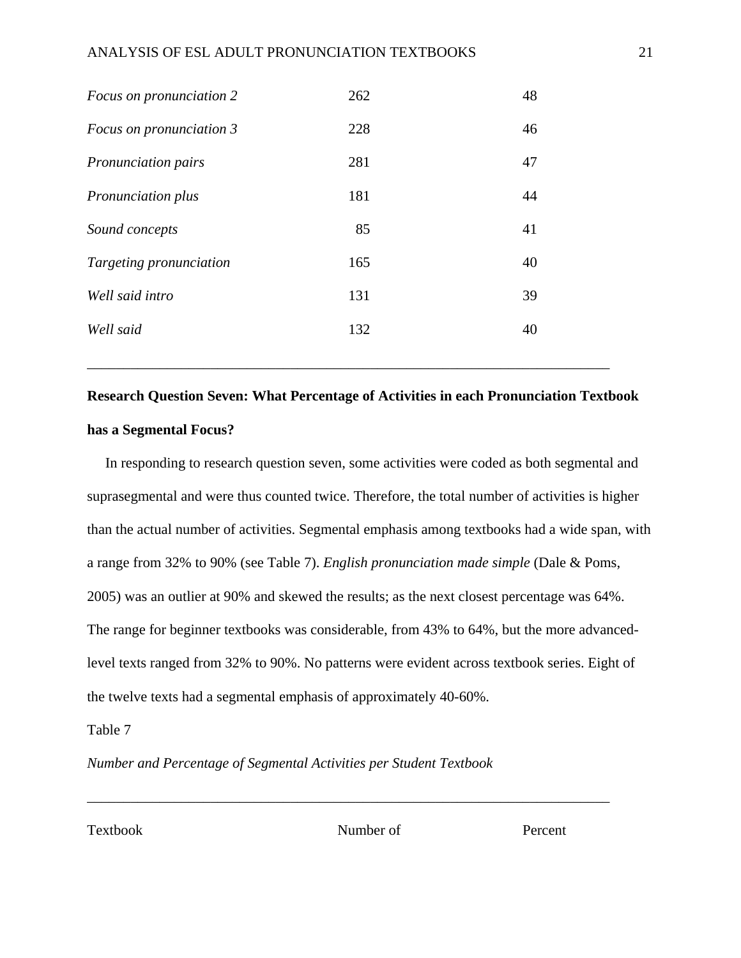| Focus on pronunciation 2   | 262 | 48 |
|----------------------------|-----|----|
| Focus on pronunciation 3   | 228 | 46 |
| <i>Pronunciation pairs</i> | 281 | 47 |
| <b>Pronunciation plus</b>  | 181 | 44 |
| Sound concepts             | 85  | 41 |
| Targeting pronunciation    | 165 | 40 |
| Well said intro            | 131 | 39 |
| Well said                  | 132 | 40 |
|                            |     |    |

# **Research Question Seven: What Percentage of Activities in each Pronunciation Textbook has a Segmental Focus?**

\_\_\_\_\_\_\_\_\_\_\_\_\_\_\_\_\_\_\_\_\_\_\_\_\_\_\_\_\_\_\_\_\_\_\_\_\_\_\_\_\_\_\_\_\_\_\_\_\_\_\_\_\_\_\_\_\_\_\_\_\_\_\_\_\_\_\_\_\_\_\_\_

 In responding to research question seven, some activities were coded as both segmental and suprasegmental and were thus counted twice. Therefore, the total number of activities is higher than the actual number of activities. Segmental emphasis among textbooks had a wide span, with a range from 32% to 90% (see Table 7). *English pronunciation made simple* (Dale & Poms, 2005) was an outlier at 90% and skewed the results; as the next closest percentage was 64%. The range for beginner textbooks was considerable, from 43% to 64%, but the more advancedlevel texts ranged from 32% to 90%. No patterns were evident across textbook series. Eight of the twelve texts had a segmental emphasis of approximately 40-60%.

### Table 7

*Number and Percentage of Segmental Activities per Student Textbook* 

Textbook Number of Percent

\_\_\_\_\_\_\_\_\_\_\_\_\_\_\_\_\_\_\_\_\_\_\_\_\_\_\_\_\_\_\_\_\_\_\_\_\_\_\_\_\_\_\_\_\_\_\_\_\_\_\_\_\_\_\_\_\_\_\_\_\_\_\_\_\_\_\_\_\_\_\_\_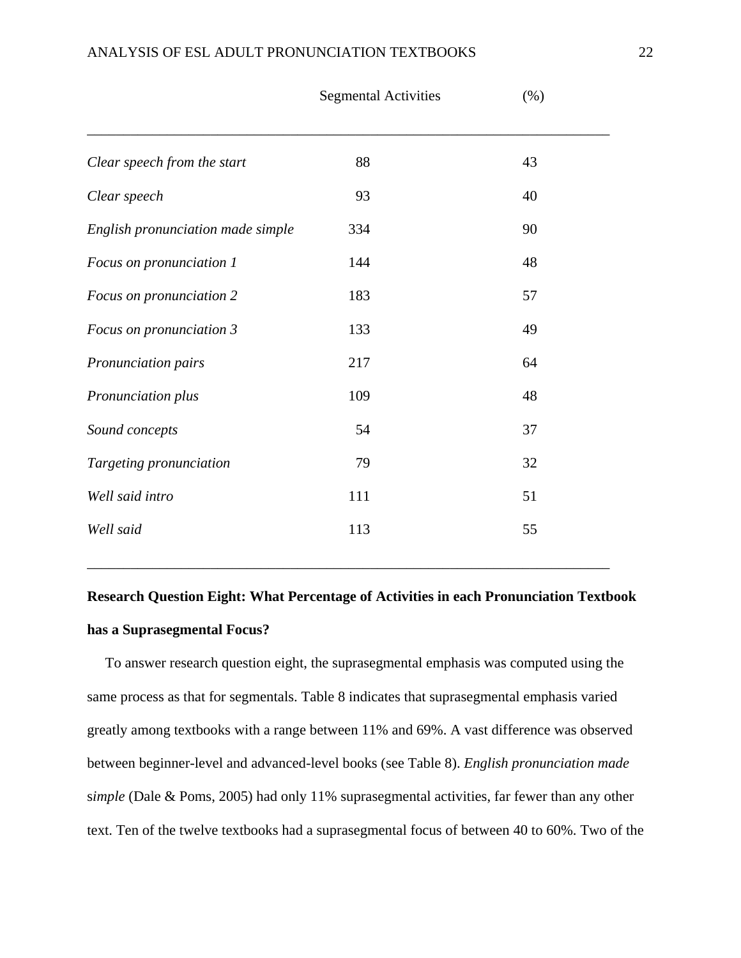|                                   | <b>Segmental Activities</b> | (%) |  |
|-----------------------------------|-----------------------------|-----|--|
| Clear speech from the start       | 88                          | 43  |  |
| Clear speech                      | 93                          | 40  |  |
| English pronunciation made simple | 334                         | 90  |  |
| Focus on pronunciation 1          | 144                         | 48  |  |
| Focus on pronunciation 2          | 183                         | 57  |  |
| Focus on pronunciation 3          | 133                         | 49  |  |
| Pronunciation pairs               | 217                         | 64  |  |
| Pronunciation plus                | 109                         | 48  |  |
| Sound concepts                    | 54                          | 37  |  |
| Targeting pronunciation           | 79                          | 32  |  |
| Well said intro                   | 111                         | 51  |  |
| Well said                         | 113                         | 55  |  |
|                                   |                             |     |  |

# **Research Question Eight: What Percentage of Activities in each Pronunciation Textbook has a Suprasegmental Focus?**

\_\_\_\_\_\_\_\_\_\_\_\_\_\_\_\_\_\_\_\_\_\_\_\_\_\_\_\_\_\_\_\_\_\_\_\_\_\_\_\_\_\_\_\_\_\_\_\_\_\_\_\_\_\_\_\_\_\_\_\_\_\_\_\_\_\_\_\_\_\_\_\_

 To answer research question eight, the suprasegmental emphasis was computed using the same process as that for segmentals. Table 8 indicates that suprasegmental emphasis varied greatly among textbooks with a range between 11% and 69%. A vast difference was observed between beginner-level and advanced-level books (see Table 8). *English pronunciation made* s*imple* (Dale & Poms, 2005) had only 11% suprasegmental activities, far fewer than any other text. Ten of the twelve textbooks had a suprasegmental focus of between 40 to 60%. Two of the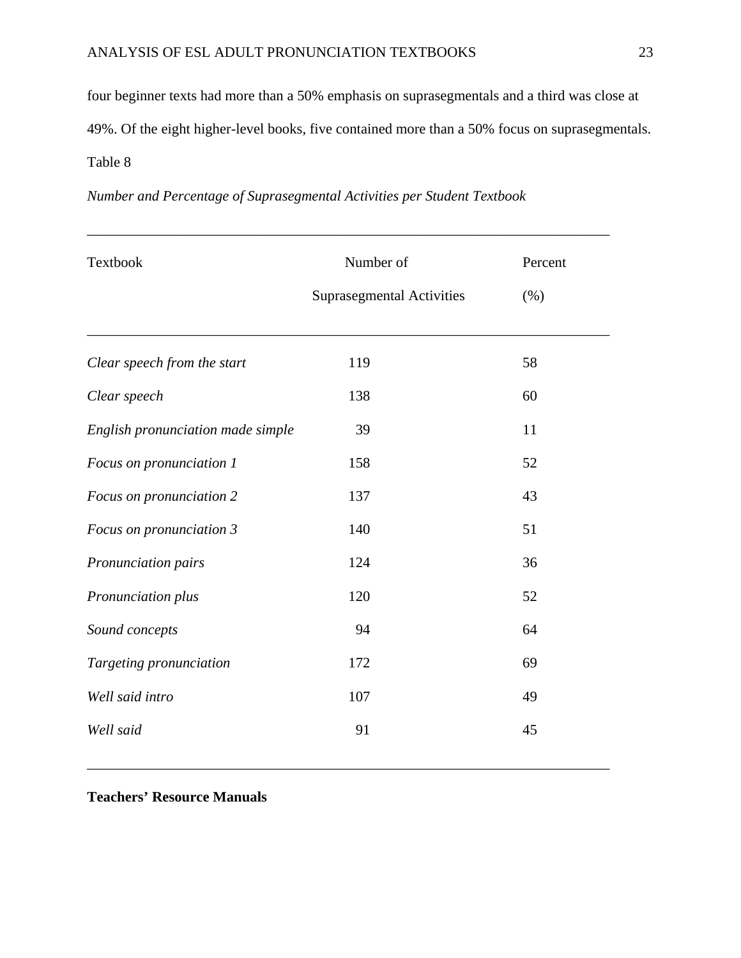four beginner texts had more than a 50% emphasis on suprasegmentals and a third was close at 49%. Of the eight higher-level books, five contained more than a 50% focus on suprasegmentals. Table 8

\_\_\_\_\_\_\_\_\_\_\_\_\_\_\_\_\_\_\_\_\_\_\_\_\_\_\_\_\_\_\_\_\_\_\_\_\_\_\_\_\_\_\_\_\_\_\_\_\_\_\_\_\_\_\_\_\_\_\_\_\_\_\_\_\_\_\_\_\_\_\_\_

| Number of                        | Percent |
|----------------------------------|---------|
| <b>Suprasegmental Activities</b> | (% )    |
|                                  |         |
| 119                              | 58      |
| 138                              | 60      |
| 39                               | 11      |
| 158                              | 52      |
| 137                              | 43      |
| 140                              | 51      |
| 124                              | 36      |
| 120                              | 52      |
| 94                               | 64      |
| 172                              | 69      |
| 107                              | 49      |
| 91                               | 45      |
|                                  |         |

\_\_\_\_\_\_\_\_\_\_\_\_\_\_\_\_\_\_\_\_\_\_\_\_\_\_\_\_\_\_\_\_\_\_\_\_\_\_\_\_\_\_\_\_\_\_\_\_\_\_\_\_\_\_\_\_\_\_\_\_\_\_\_\_\_\_\_\_\_\_\_\_

*Number and Percentage of Suprasegmental Activities per Student Textbook* 

**Teachers' Resource Manuals**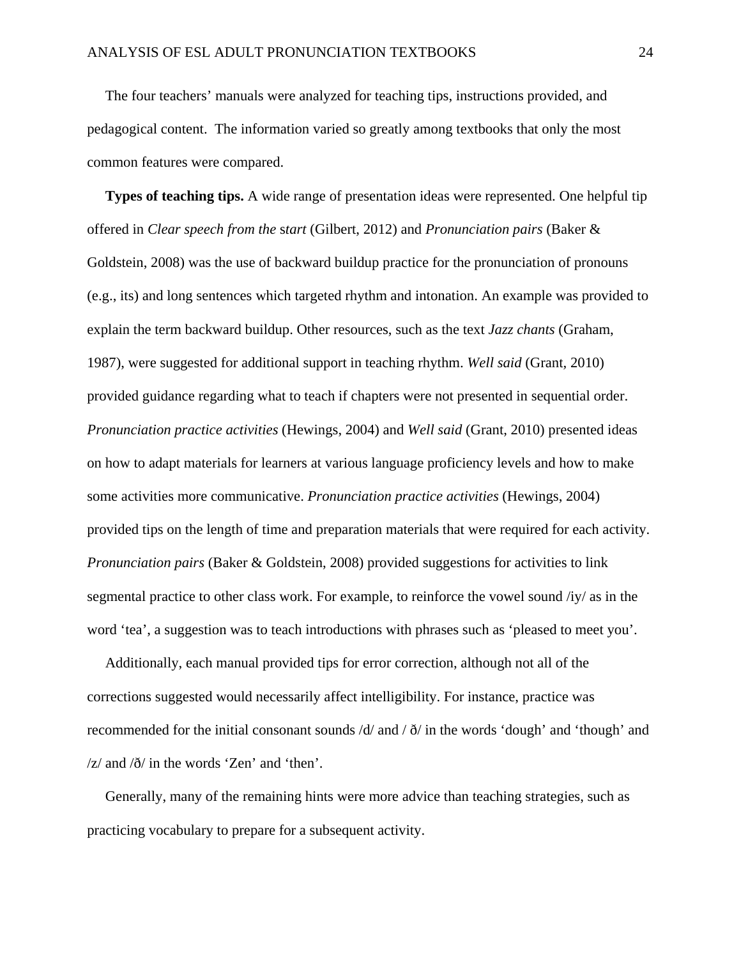The four teachers' manuals were analyzed for teaching tips, instructions provided, and pedagogical content. The information varied so greatly among textbooks that only the most common features were compared.

 **Types of teaching tips.** A wide range of presentation ideas were represented. One helpful tip offered in *Clear speech from the* s*tart* (Gilbert, 2012) and *Pronunciation pairs* (Baker & Goldstein, 2008) was the use of backward buildup practice for the pronunciation of pronouns (e.g., its) and long sentences which targeted rhythm and intonation. An example was provided to explain the term backward buildup. Other resources, such as the text *Jazz chants* (Graham, 1987), were suggested for additional support in teaching rhythm. *Well said* (Grant*,* 2010) provided guidance regarding what to teach if chapters were not presented in sequential order. *Pronunciation practice activities* (Hewings, 2004) and *Well said* (Grant, 2010) presented ideas on how to adapt materials for learners at various language proficiency levels and how to make some activities more communicative. *Pronunciation practice activities* (Hewings, 2004) provided tips on the length of time and preparation materials that were required for each activity. *Pronunciation pairs* (Baker & Goldstein, 2008) provided suggestions for activities to link segmental practice to other class work. For example, to reinforce the vowel sound /iy/ as in the word 'tea', a suggestion was to teach introductions with phrases such as 'pleased to meet you'.

 Additionally, each manual provided tips for error correction, although not all of the corrections suggested would necessarily affect intelligibility. For instance, practice was recommended for the initial consonant sounds  $\frac{d}{dx}$  and  $\frac{d}{dx}$  in the words 'dough' and 'though' and  $\frac{z}{\text{ and } \delta}$  in the words 'Zen' and 'then'.

 Generally, many of the remaining hints were more advice than teaching strategies, such as practicing vocabulary to prepare for a subsequent activity.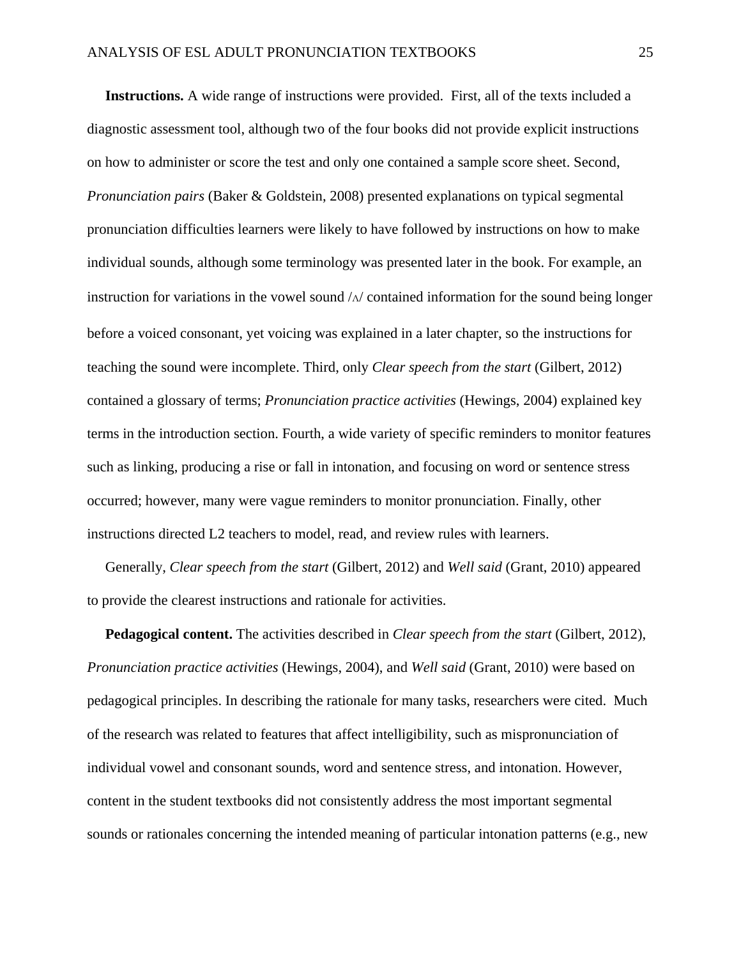**Instructions.** A wide range of instructions were provided. First, all of the texts included a diagnostic assessment tool, although two of the four books did not provide explicit instructions on how to administer or score the test and only one contained a sample score sheet. Second, *Pronunciation pairs* (Baker & Goldstein, 2008) presented explanations on typical segmental pronunciation difficulties learners were likely to have followed by instructions on how to make individual sounds, although some terminology was presented later in the book. For example, an instruction for variations in the vowel sound  $/\sqrt{\Lambda}$  contained information for the sound being longer before a voiced consonant, yet voicing was explained in a later chapter, so the instructions for teaching the sound were incomplete. Third, only *Clear speech from the start* (Gilbert, 2012) contained a glossary of terms; *Pronunciation practice activities* (Hewings, 2004) explained key terms in the introduction section. Fourth, a wide variety of specific reminders to monitor features such as linking, producing a rise or fall in intonation, and focusing on word or sentence stress occurred; however, many were vague reminders to monitor pronunciation. Finally, other instructions directed L2 teachers to model, read, and review rules with learners.

 Generally, *Clear speech from the start* (Gilbert, 2012) and *Well said* (Grant, 2010) appeared to provide the clearest instructions and rationale for activities.

 **Pedagogical content.** The activities described in *Clear speech from the start* (Gilbert, 2012), *Pronunciation practice activities* (Hewings, 2004), and *Well said* (Grant, 2010) were based on pedagogical principles. In describing the rationale for many tasks, researchers were cited. Much of the research was related to features that affect intelligibility, such as mispronunciation of individual vowel and consonant sounds, word and sentence stress, and intonation. However, content in the student textbooks did not consistently address the most important segmental sounds or rationales concerning the intended meaning of particular intonation patterns (e.g., new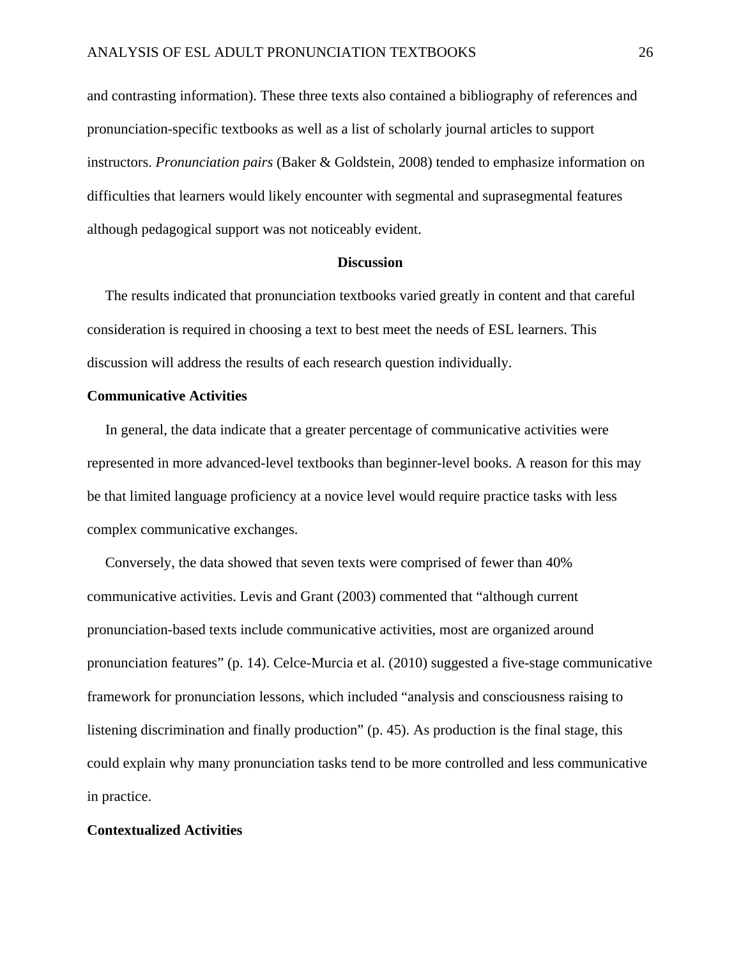and contrasting information). These three texts also contained a bibliography of references and pronunciation-specific textbooks as well as a list of scholarly journal articles to support instructors. *Pronunciation pairs* (Baker & Goldstein, 2008) tended to emphasize information on difficulties that learners would likely encounter with segmental and suprasegmental features although pedagogical support was not noticeably evident.

#### **Discussion**

 The results indicated that pronunciation textbooks varied greatly in content and that careful consideration is required in choosing a text to best meet the needs of ESL learners. This discussion will address the results of each research question individually.

### **Communicative Activities**

 In general, the data indicate that a greater percentage of communicative activities were represented in more advanced-level textbooks than beginner-level books. A reason for this may be that limited language proficiency at a novice level would require practice tasks with less complex communicative exchanges.

 Conversely, the data showed that seven texts were comprised of fewer than 40% communicative activities. Levis and Grant (2003) commented that "although current pronunciation-based texts include communicative activities, most are organized around pronunciation features" (p. 14). Celce-Murcia et al. (2010) suggested a five-stage communicative framework for pronunciation lessons, which included "analysis and consciousness raising to listening discrimination and finally production" (p. 45). As production is the final stage, this could explain why many pronunciation tasks tend to be more controlled and less communicative in practice.

### **Contextualized Activities**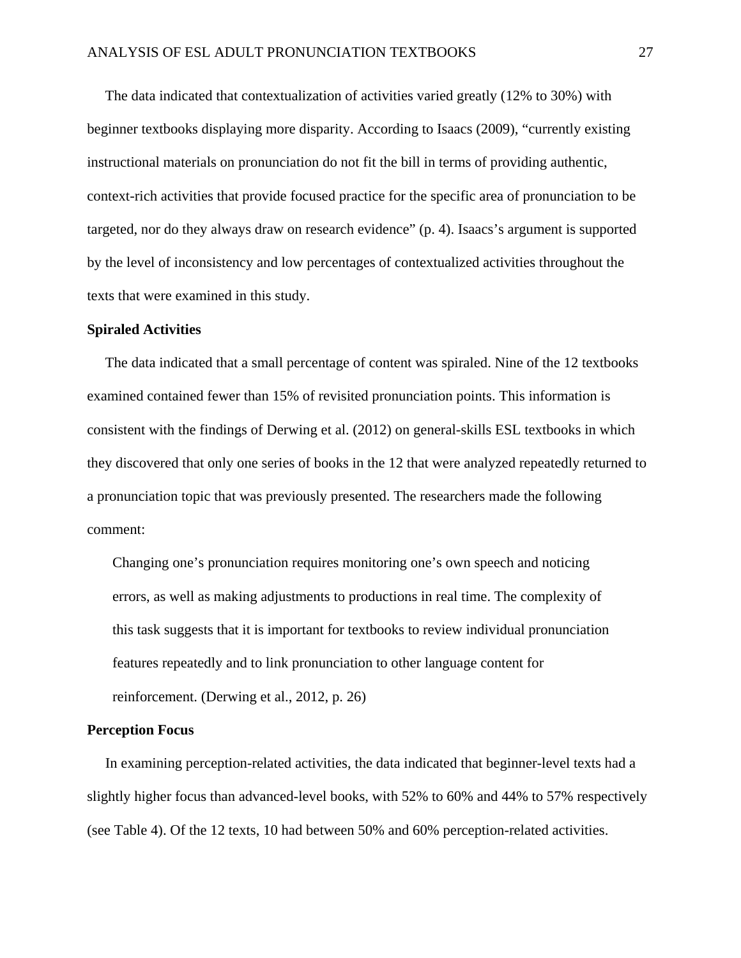The data indicated that contextualization of activities varied greatly (12% to 30%) with beginner textbooks displaying more disparity. According to Isaacs (2009), "currently existing instructional materials on pronunciation do not fit the bill in terms of providing authentic, context-rich activities that provide focused practice for the specific area of pronunciation to be targeted, nor do they always draw on research evidence" (p. 4). Isaacs's argument is supported by the level of inconsistency and low percentages of contextualized activities throughout the texts that were examined in this study.

#### **Spiraled Activities**

 The data indicated that a small percentage of content was spiraled. Nine of the 12 textbooks examined contained fewer than 15% of revisited pronunciation points. This information is consistent with the findings of Derwing et al. (2012) on general-skills ESL textbooks in which they discovered that only one series of books in the 12 that were analyzed repeatedly returned to a pronunciation topic that was previously presented. The researchers made the following comment:

 Changing one's pronunciation requires monitoring one's own speech and noticing errors, as well as making adjustments to productions in real time. The complexity of this task suggests that it is important for textbooks to review individual pronunciation features repeatedly and to link pronunciation to other language content for reinforcement. (Derwing et al., 2012, p. 26)

### **Perception Focus**

 In examining perception-related activities, the data indicated that beginner-level texts had a slightly higher focus than advanced-level books, with 52% to 60% and 44% to 57% respectively (see Table 4). Of the 12 texts, 10 had between 50% and 60% perception-related activities.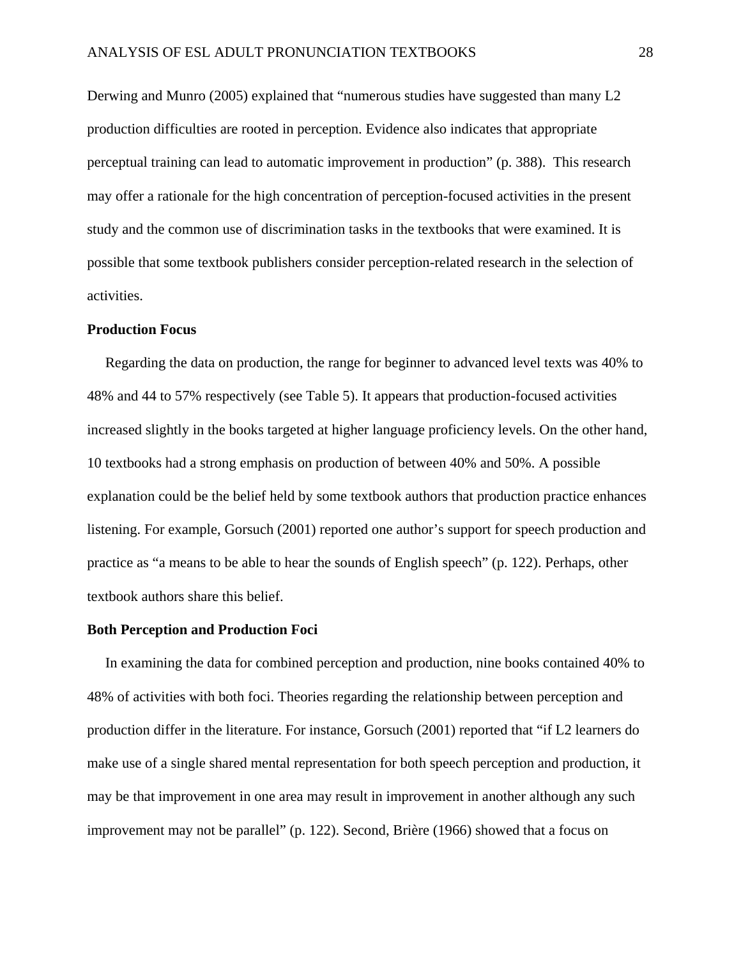Derwing and Munro (2005) explained that "numerous studies have suggested than many L2 production difficulties are rooted in perception. Evidence also indicates that appropriate perceptual training can lead to automatic improvement in production" (p. 388). This research may offer a rationale for the high concentration of perception-focused activities in the present study and the common use of discrimination tasks in the textbooks that were examined. It is possible that some textbook publishers consider perception-related research in the selection of activities.

### **Production Focus**

 Regarding the data on production, the range for beginner to advanced level texts was 40% to 48% and 44 to 57% respectively (see Table 5). It appears that production-focused activities increased slightly in the books targeted at higher language proficiency levels. On the other hand, 10 textbooks had a strong emphasis on production of between 40% and 50%. A possible explanation could be the belief held by some textbook authors that production practice enhances listening. For example, Gorsuch (2001) reported one author's support for speech production and practice as "a means to be able to hear the sounds of English speech" (p. 122). Perhaps, other textbook authors share this belief.

### **Both Perception and Production Foci**

 In examining the data for combined perception and production, nine books contained 40% to 48% of activities with both foci. Theories regarding the relationship between perception and production differ in the literature. For instance, Gorsuch (2001) reported that "if L2 learners do make use of a single shared mental representation for both speech perception and production, it may be that improvement in one area may result in improvement in another although any such improvement may not be parallel" (p. 122). Second, Brière (1966) showed that a focus on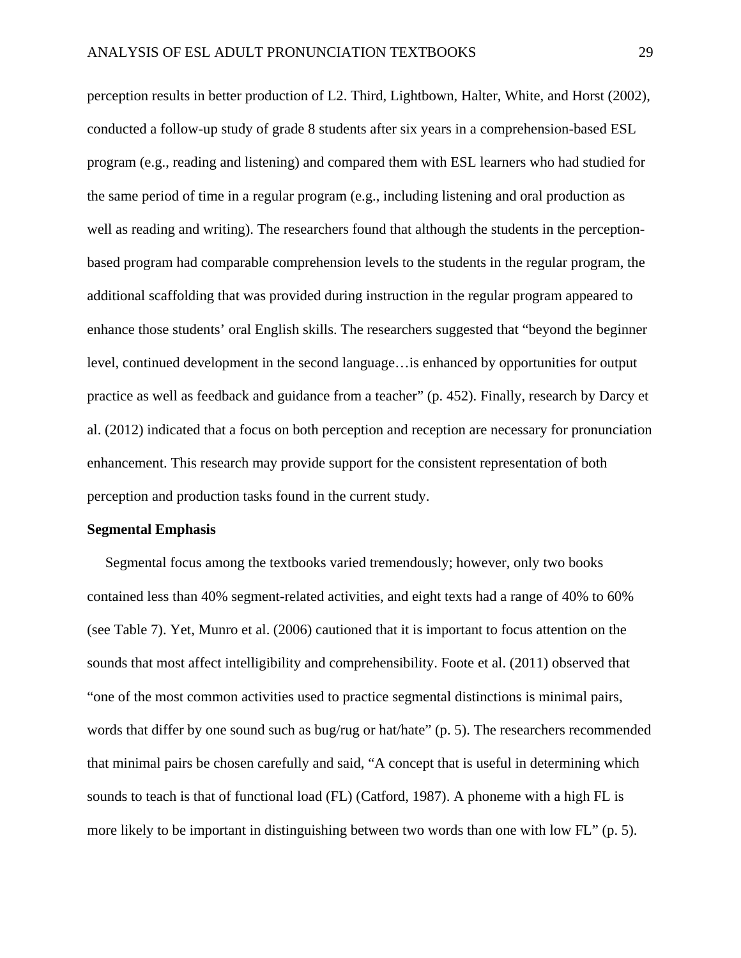perception results in better production of L2. Third, Lightbown, Halter, White, and Horst (2002), conducted a follow-up study of grade 8 students after six years in a comprehension-based ESL program (e.g., reading and listening) and compared them with ESL learners who had studied for the same period of time in a regular program (e.g., including listening and oral production as well as reading and writing). The researchers found that although the students in the perceptionbased program had comparable comprehension levels to the students in the regular program, the additional scaffolding that was provided during instruction in the regular program appeared to enhance those students' oral English skills. The researchers suggested that "beyond the beginner level, continued development in the second language…is enhanced by opportunities for output practice as well as feedback and guidance from a teacher" (p. 452). Finally, research by Darcy et al. (2012) indicated that a focus on both perception and reception are necessary for pronunciation enhancement. This research may provide support for the consistent representation of both perception and production tasks found in the current study.

### **Segmental Emphasis**

 Segmental focus among the textbooks varied tremendously; however, only two books contained less than 40% segment-related activities, and eight texts had a range of 40% to 60% (see Table 7). Yet, Munro et al. (2006) cautioned that it is important to focus attention on the sounds that most affect intelligibility and comprehensibility. Foote et al. (2011) observed that "one of the most common activities used to practice segmental distinctions is minimal pairs, words that differ by one sound such as bug/rug or hat/hate" (p. 5). The researchers recommended that minimal pairs be chosen carefully and said, "A concept that is useful in determining which sounds to teach is that of functional load (FL) (Catford, 1987). A phoneme with a high FL is more likely to be important in distinguishing between two words than one with low FL" (p. 5).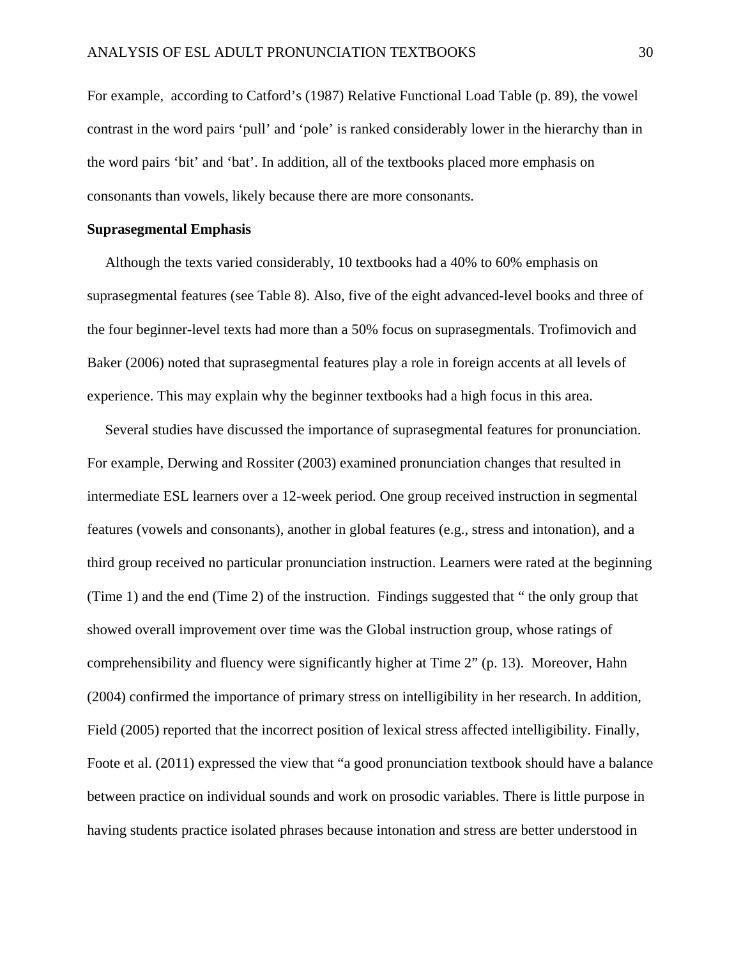For example, according to Catford's (1987) Relative Functional Load Table (p. 89), the vowel contrast in the word pairs 'pull' and 'pole' is ranked considerably lower in the hierarchy than in the word pairs 'bit' and 'bat'. In addition, all of the textbooks placed more emphasis on consonants than vowels, likely because there are more consonants.

### **Suprasegmental Emphasis**

 Although the texts varied considerably, 10 textbooks had a 40% to 60% emphasis on suprasegmental features (see Table 8). Also, five of the eight advanced-level books and three of the four beginner-level texts had more than a 50% focus on suprasegmentals. Trofimovich and Baker (2006) noted that suprasegmental features play a role in foreign accents at all levels of experience. This may explain why the beginner textbooks had a high focus in this area.

 Several studies have discussed the importance of suprasegmental features for pronunciation. For example, Derwing and Rossiter (2003) examined pronunciation changes that resulted in intermediate ESL learners over a 12-week period. One group received instruction in segmental features (vowels and consonants), another in global features (e.g., stress and intonation), and a third group received no particular pronunciation instruction. Learners were rated at the beginning (Time 1) and the end (Time 2) of the instruction. Findings suggested that " the only group that showed overall improvement over time was the Global instruction group, whose ratings of comprehensibility and fluency were significantly higher at Time 2" (p. 13). Moreover, Hahn (2004) confirmed the importance of primary stress on intelligibility in her research. In addition, Field (2005) reported that the incorrect position of lexical stress affected intelligibility. Finally, Foote et al. (2011) expressed the view that "a good pronunciation textbook should have a balance between practice on individual sounds and work on prosodic variables. There is little purpose in having students practice isolated phrases because intonation and stress are better understood in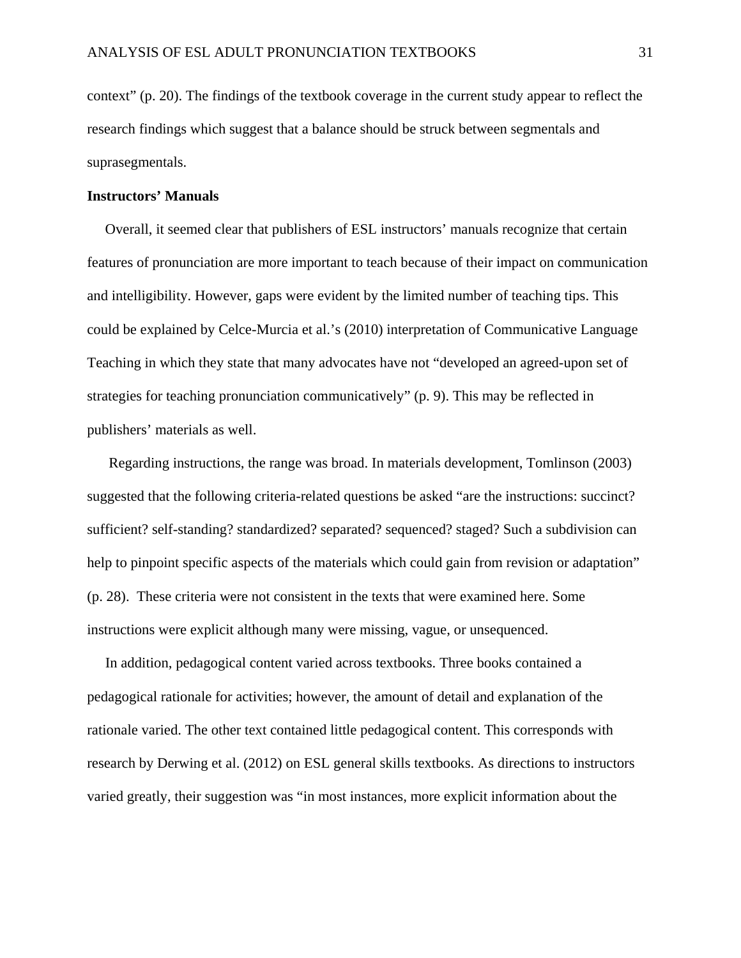context" (p. 20). The findings of the textbook coverage in the current study appear to reflect the research findings which suggest that a balance should be struck between segmentals and suprasegmentals.

### **Instructors' Manuals**

 Overall, it seemed clear that publishers of ESL instructors' manuals recognize that certain features of pronunciation are more important to teach because of their impact on communication and intelligibility. However, gaps were evident by the limited number of teaching tips. This could be explained by Celce-Murcia et al.'s (2010) interpretation of Communicative Language Teaching in which they state that many advocates have not "developed an agreed-upon set of strategies for teaching pronunciation communicatively" (p. 9). This may be reflected in publishers' materials as well.

 Regarding instructions, the range was broad. In materials development, Tomlinson (2003) suggested that the following criteria-related questions be asked "are the instructions: succinct? sufficient? self-standing? standardized? separated? sequenced? staged? Such a subdivision can help to pinpoint specific aspects of the materials which could gain from revision or adaptation" (p. 28). These criteria were not consistent in the texts that were examined here. Some instructions were explicit although many were missing, vague, or unsequenced.

 In addition, pedagogical content varied across textbooks. Three books contained a pedagogical rationale for activities; however, the amount of detail and explanation of the rationale varied. The other text contained little pedagogical content. This corresponds with research by Derwing et al. (2012) on ESL general skills textbooks. As directions to instructors varied greatly, their suggestion was "in most instances, more explicit information about the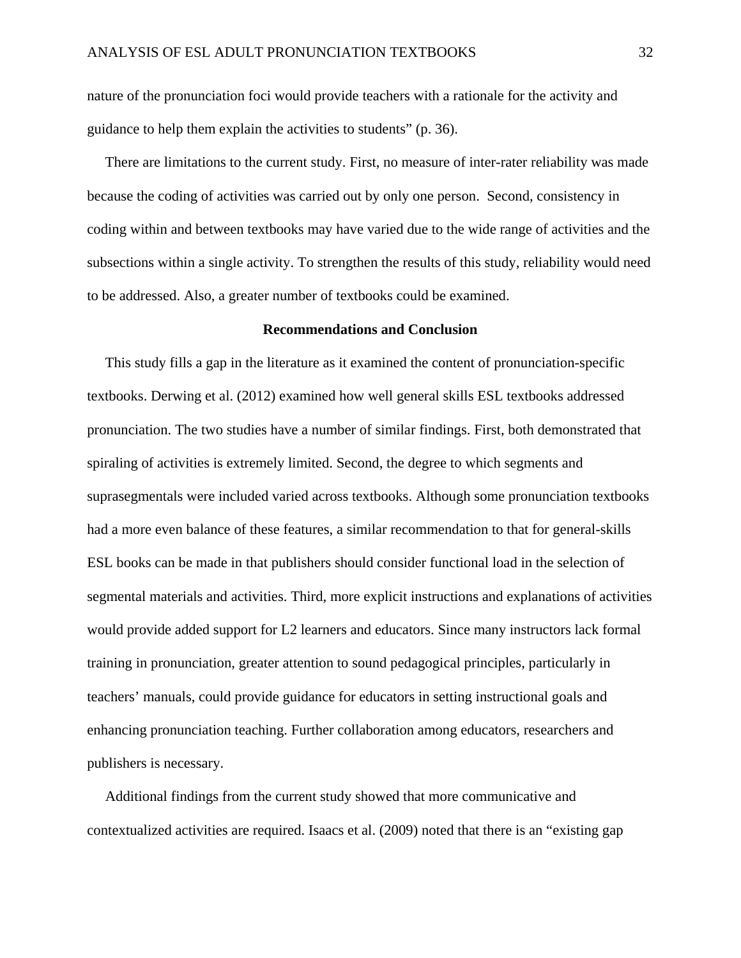nature of the pronunciation foci would provide teachers with a rationale for the activity and guidance to help them explain the activities to students" (p. 36).

 There are limitations to the current study. First, no measure of inter-rater reliability was made because the coding of activities was carried out by only one person. Second, consistency in coding within and between textbooks may have varied due to the wide range of activities and the subsections within a single activity. To strengthen the results of this study, reliability would need to be addressed. Also, a greater number of textbooks could be examined.

### **Recommendations and Conclusion**

 This study fills a gap in the literature as it examined the content of pronunciation-specific textbooks. Derwing et al. (2012) examined how well general skills ESL textbooks addressed pronunciation. The two studies have a number of similar findings. First, both demonstrated that spiraling of activities is extremely limited. Second, the degree to which segments and suprasegmentals were included varied across textbooks. Although some pronunciation textbooks had a more even balance of these features, a similar recommendation to that for general-skills ESL books can be made in that publishers should consider functional load in the selection of segmental materials and activities. Third, more explicit instructions and explanations of activities would provide added support for L2 learners and educators. Since many instructors lack formal training in pronunciation, greater attention to sound pedagogical principles, particularly in teachers' manuals, could provide guidance for educators in setting instructional goals and enhancing pronunciation teaching. Further collaboration among educators, researchers and publishers is necessary.

 Additional findings from the current study showed that more communicative and contextualized activities are required. Isaacs et al. (2009) noted that there is an "existing gap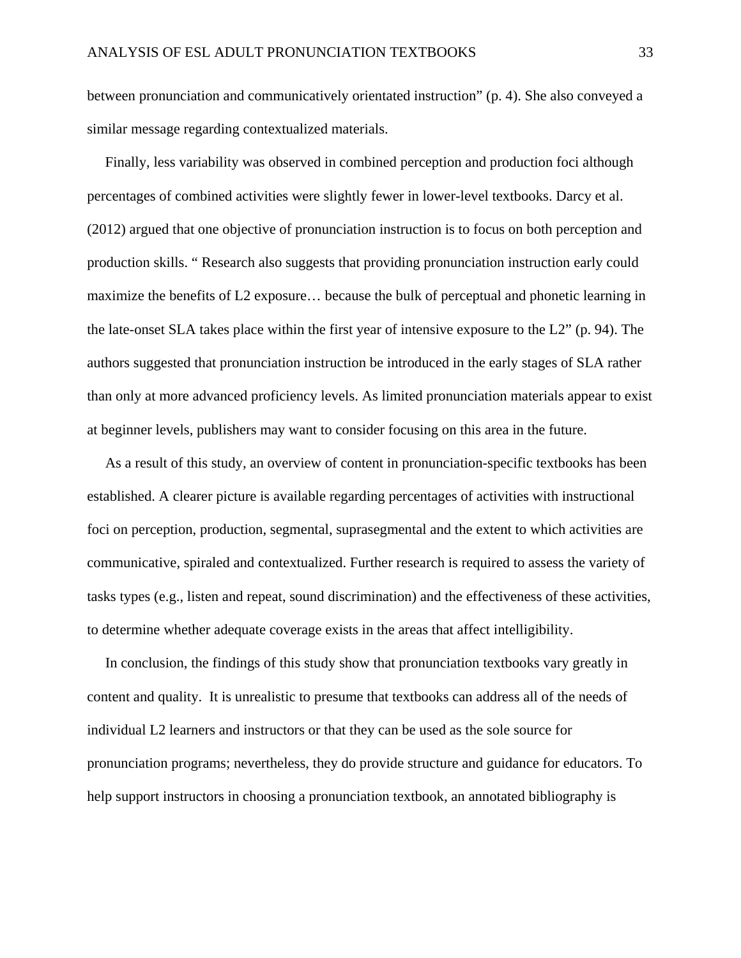between pronunciation and communicatively orientated instruction" (p. 4). She also conveyed a similar message regarding contextualized materials.

 Finally, less variability was observed in combined perception and production foci although percentages of combined activities were slightly fewer in lower-level textbooks. Darcy et al. (2012) argued that one objective of pronunciation instruction is to focus on both perception and production skills. " Research also suggests that providing pronunciation instruction early could maximize the benefits of L2 exposure… because the bulk of perceptual and phonetic learning in the late-onset SLA takes place within the first year of intensive exposure to the L2" (p. 94). The authors suggested that pronunciation instruction be introduced in the early stages of SLA rather than only at more advanced proficiency levels. As limited pronunciation materials appear to exist at beginner levels, publishers may want to consider focusing on this area in the future.

 As a result of this study, an overview of content in pronunciation-specific textbooks has been established. A clearer picture is available regarding percentages of activities with instructional foci on perception, production, segmental, suprasegmental and the extent to which activities are communicative, spiraled and contextualized. Further research is required to assess the variety of tasks types (e.g., listen and repeat, sound discrimination) and the effectiveness of these activities, to determine whether adequate coverage exists in the areas that affect intelligibility.

 In conclusion, the findings of this study show that pronunciation textbooks vary greatly in content and quality. It is unrealistic to presume that textbooks can address all of the needs of individual L2 learners and instructors or that they can be used as the sole source for pronunciation programs; nevertheless, they do provide structure and guidance for educators. To help support instructors in choosing a pronunciation textbook, an annotated bibliography is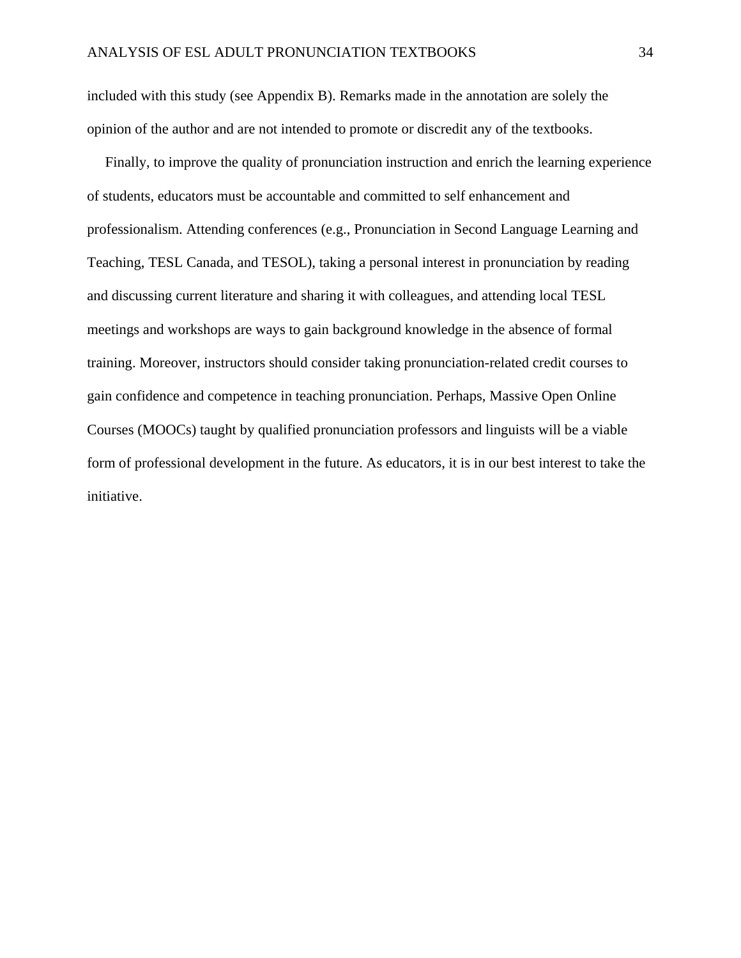included with this study (see Appendix B). Remarks made in the annotation are solely the opinion of the author and are not intended to promote or discredit any of the textbooks.

 Finally, to improve the quality of pronunciation instruction and enrich the learning experience of students, educators must be accountable and committed to self enhancement and professionalism. Attending conferences (e.g., Pronunciation in Second Language Learning and Teaching, TESL Canada, and TESOL), taking a personal interest in pronunciation by reading and discussing current literature and sharing it with colleagues, and attending local TESL meetings and workshops are ways to gain background knowledge in the absence of formal training. Moreover, instructors should consider taking pronunciation-related credit courses to gain confidence and competence in teaching pronunciation. Perhaps, Massive Open Online Courses (MOOCs) taught by qualified pronunciation professors and linguists will be a viable form of professional development in the future. As educators, it is in our best interest to take the initiative.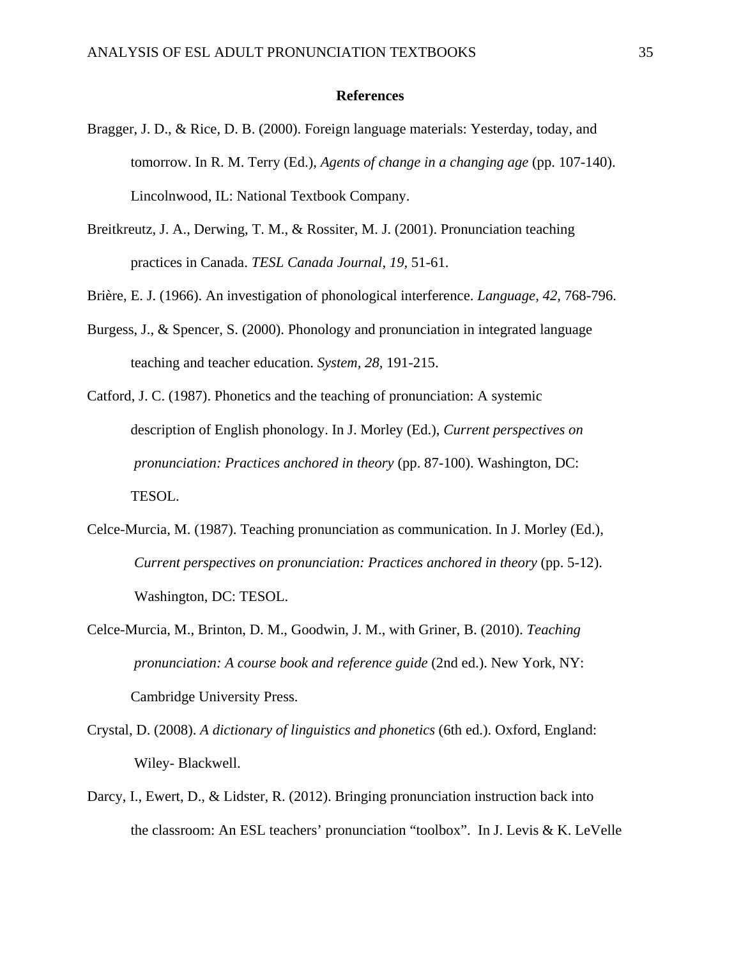#### **References**

- Bragger, J. D., & Rice, D. B. (2000). Foreign language materials: Yesterday, today, and tomorrow. In R. M. Terry (Ed.), *Agents of change in a changing age* (pp. 107-140). Lincolnwood, IL: National Textbook Company.
- Breitkreutz, J. A., Derwing, T. M., & Rossiter, M. J. (2001). Pronunciation teaching practices in Canada. *TESL Canada Journal, 19,* 51-61.
- Brière, E. J. (1966). An investigation of phonological interference. *Language, 42,* 768-796.
- Burgess, J., & Spencer, S. (2000). Phonology and pronunciation in integrated language teaching and teacher education. *System, 28,* 191-215.
- Catford, J. C. (1987). Phonetics and the teaching of pronunciation: A systemic description of English phonology. In J. Morley (Ed.), *Current perspectives on pronunciation: Practices anchored in theory* (pp. 87-100). Washington, DC: TESOL.
- Celce-Murcia, M. (1987). Teaching pronunciation as communication. In J. Morley (Ed.),  *Current perspectives on pronunciation: Practices anchored in theory* (pp. 5-12). Washington, DC: TESOL.
- Celce-Murcia, M., Brinton, D. M., Goodwin, J. M., with Griner, B. (2010). *Teaching pronunciation: A course book and reference guide* (2nd ed.). New York, NY: Cambridge University Press.
- Crystal, D. (2008). *A dictionary of linguistics and phonetics* (6th ed.). Oxford, England: Wiley- Blackwell.
- Darcy, I., Ewert, D., & Lidster, R. (2012). Bringing pronunciation instruction back into the classroom: An ESL teachers' pronunciation "toolbox". In J. Levis & K. LeVelle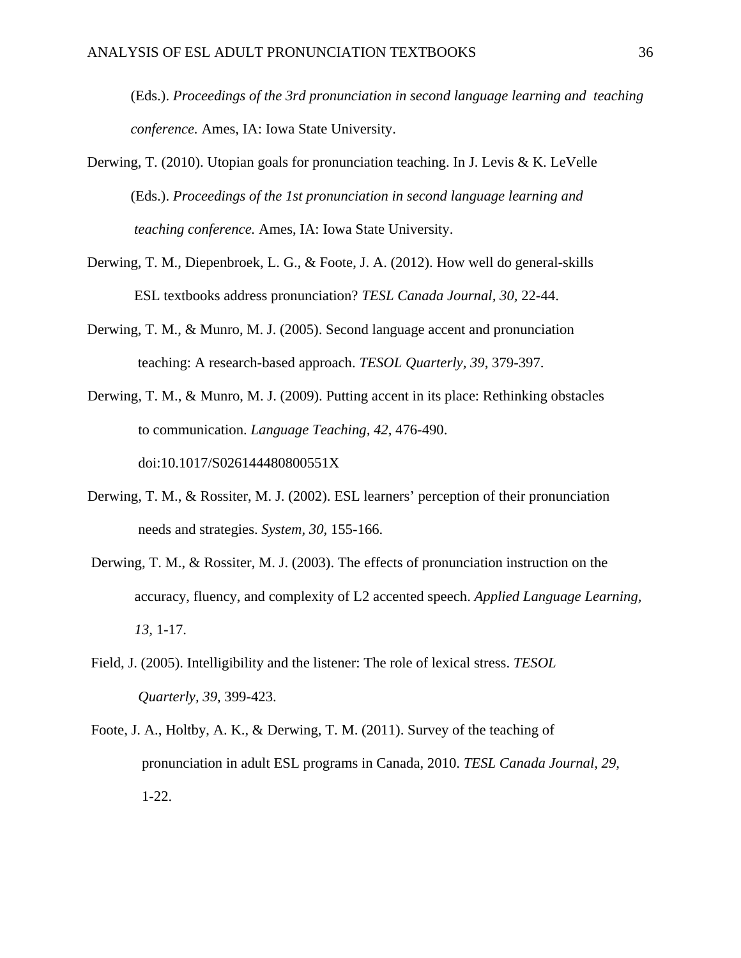(Eds.). *Proceedings of the 3rd pronunciation in second language learning and teaching conference.* Ames, IA: Iowa State University.

- Derwing, T. (2010). Utopian goals for pronunciation teaching. In J. Levis & K. LeVelle (Eds.). *Proceedings of the 1st pronunciation in second language learning and teaching conference.* Ames, IA: Iowa State University.
- Derwing, T. M., Diepenbroek, L. G., & Foote, J. A. (2012). How well do general-skills ESL textbooks address pronunciation? *TESL Canada Journal, 30,* 22-44.
- Derwing, T. M., & Munro, M. J. (2005). Second language accent and pronunciation teaching: A research-based approach. *TESOL Quarterly, 39*, 379-397.
- Derwing, T. M., & Munro, M. J. (2009). Putting accent in its place: Rethinking obstacles to communication. *Language Teaching, 42*, 476-490. doi:10.1017/S026144480800551X
- Derwing, T. M., & Rossiter, M. J. (2002). ESL learners' perception of their pronunciation needs and strategies. *System, 30,* 155-166.
- Derwing, T. M., & Rossiter, M. J. (2003). The effects of pronunciation instruction on the accuracy, fluency, and complexity of L2 accented speech. *Applied Language Learning, 13,* 1-17.
- Field, J. (2005). Intelligibility and the listener: The role of lexical stress. *TESOL Quarterly, 39*, 399-423.
- Foote, J. A., Holtby, A. K., & Derwing, T. M. (2011). Survey of the teaching of pronunciation in adult ESL programs in Canada, 2010. *TESL Canada Journal, 29,*  1-22.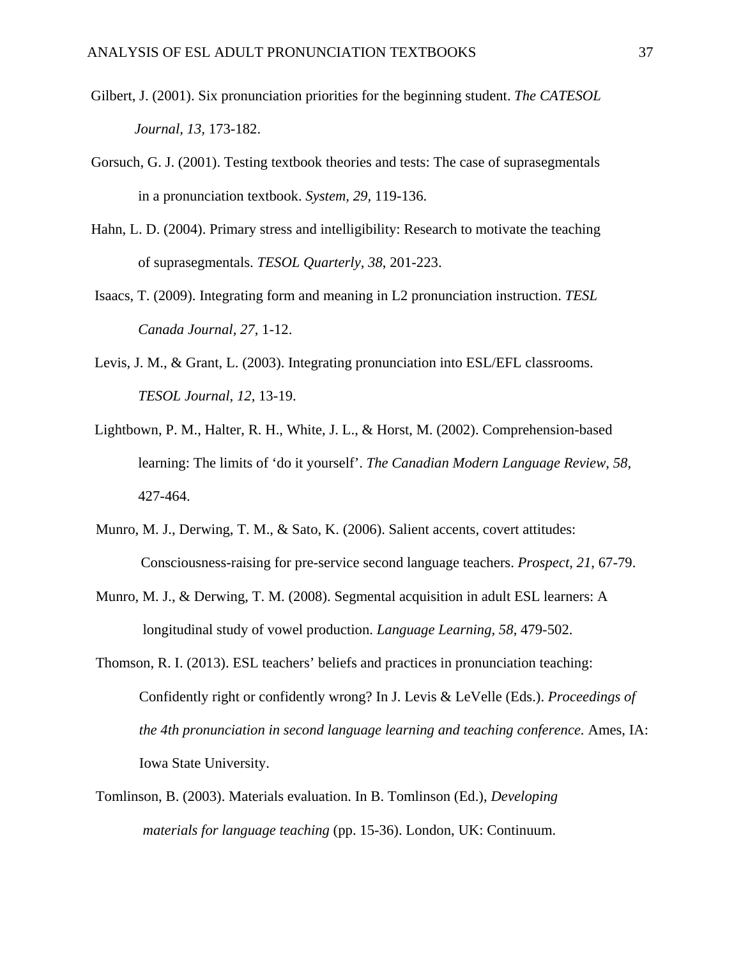- Gilbert, J. (2001). Six pronunciation priorities for the beginning student. *The CATESOL Journal, 13,* 173-182.
- Gorsuch, G. J. (2001). Testing textbook theories and tests: The case of suprasegmentals in a pronunciation textbook. *System, 29,* 119-136.
- Hahn, L. D. (2004). Primary stress and intelligibility: Research to motivate the teaching of suprasegmentals. *TESOL Quarterly, 38*, 201-223.
- Isaacs, T. (2009). Integrating form and meaning in L2 pronunciation instruction. *TESL Canada Journal, 27*, 1-12.
- Levis, J. M., & Grant, L. (2003). Integrating pronunciation into ESL/EFL classrooms.  *TESOL Journal, 12,* 13-19.
- Lightbown, P. M., Halter, R. H., White, J. L., & Horst, M. (2002). Comprehension-based learning: The limits of 'do it yourself'. *The Canadian Modern Language Review, 58*, 427-464.
- Munro, M. J., Derwing, T. M., & Sato, K. (2006). Salient accents, covert attitudes: Consciousness-raising for pre-service second language teachers. *Prospect, 21*, 67-79.
- Munro, M. J., & Derwing, T. M. (2008). Segmental acquisition in adult ESL learners: A longitudinal study of vowel production. *Language Learning, 58*, 479-502.
- Thomson, R. I. (2013). ESL teachers' beliefs and practices in pronunciation teaching: Confidently right or confidently wrong? In J. Levis & LeVelle (Eds.). *Proceedings of the 4th pronunciation in second language learning and teaching conference.* Ames, IA: Iowa State University.
- Tomlinson, B. (2003). Materials evaluation. In B. Tomlinson (Ed.), *Developing materials for language teaching* (pp. 15-36). London, UK: Continuum.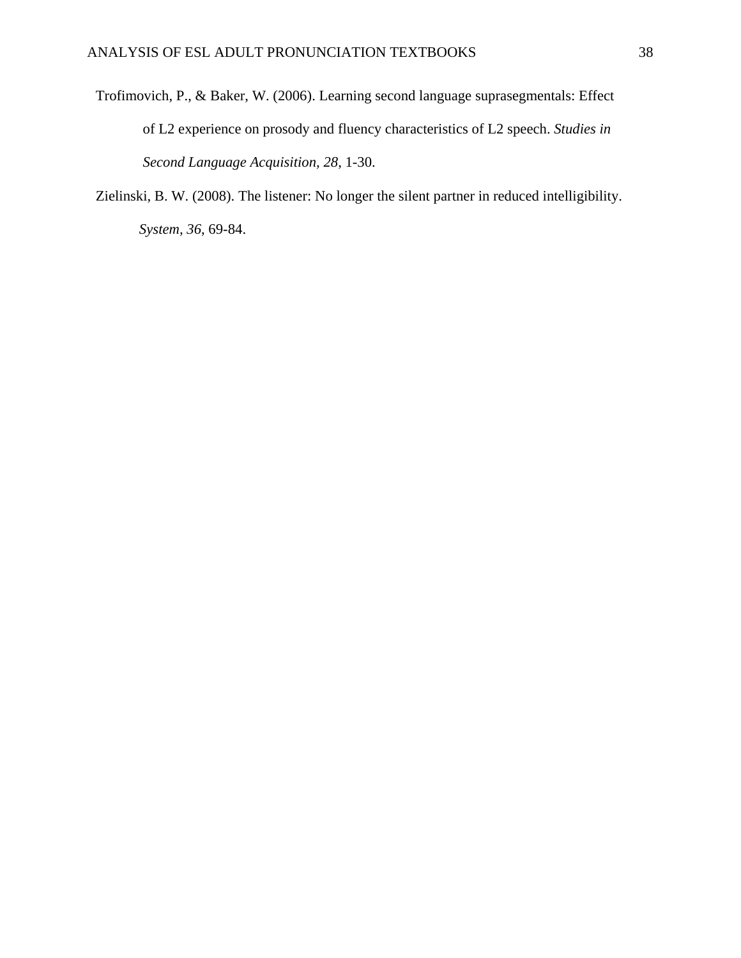- Trofimovich, P., & Baker, W. (2006). Learning second language suprasegmentals: Effect of L2 experience on prosody and fluency characteristics of L2 speech. *Studies in Second Language Acquisition, 28*, 1-30.
- Zielinski, B. W. (2008). The listener: No longer the silent partner in reduced intelligibility. *System, 36*, 69-84.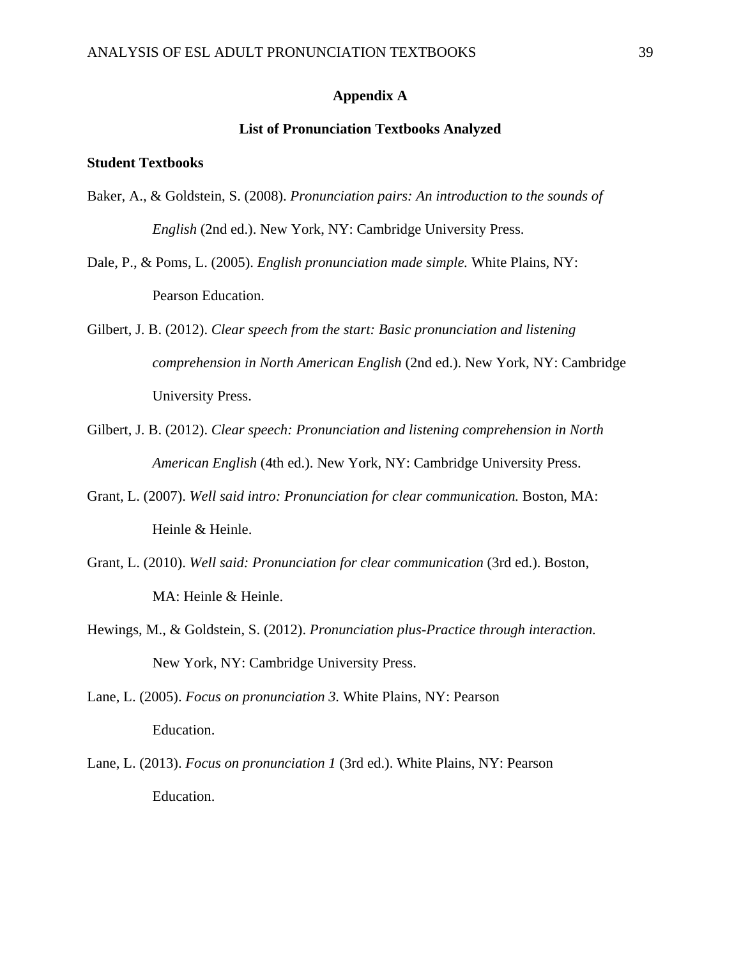## **Appendix A**

### **List of Pronunciation Textbooks Analyzed**

## **Student Textbooks**

- Baker, A., & Goldstein, S. (2008). *Pronunciation pairs: An introduction to the sounds of English* (2nd ed.). New York, NY: Cambridge University Press.
- Dale, P., & Poms, L. (2005). *English pronunciation made simple.* White Plains, NY: Pearson Education.
- Gilbert, J. B. (2012). *Clear speech from the start: Basic pronunciation and listening comprehension in North American English* (2nd ed.). New York, NY: Cambridge University Press.
- Gilbert, J. B. (2012). *Clear speech: Pronunciation and listening comprehension in North American English* (4th ed.). New York, NY: Cambridge University Press.
- Grant, L. (2007). *Well said intro: Pronunciation for clear communication.* Boston, MA: Heinle & Heinle.
- Grant, L. (2010). *Well said: Pronunciation for clear communication* (3rd ed.). Boston, MA: Heinle & Heinle.
- Hewings, M., & Goldstein, S. (2012). *Pronunciation plus-Practice through interaction.*  New York, NY: Cambridge University Press.
- Lane, L. (2005). *Focus on pronunciation 3.* White Plains, NY: Pearson Education.
- Lane, L. (2013). *Focus on pronunciation 1* (3rd ed.). White Plains, NY: Pearson Education.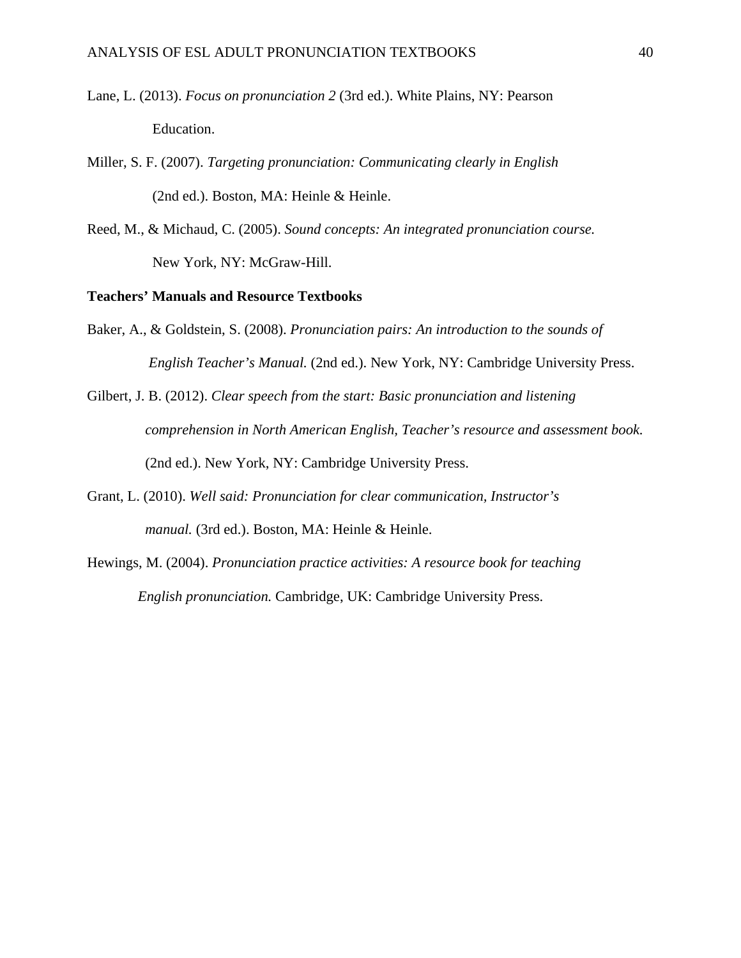- Lane, L. (2013). *Focus on pronunciation 2* (3rd ed.). White Plains, NY: Pearson Education.
- Miller, S. F. (2007). *Targeting pronunciation: Communicating clearly in English* (2nd ed.). Boston, MA: Heinle & Heinle.
- Reed, M., & Michaud, C. (2005). *Sound concepts: An integrated pronunciation course.* New York, NY: McGraw-Hill.

**Teachers' Manuals and Resource Textbooks** 

- Baker, A., & Goldstein, S. (2008). *Pronunciation pairs: An introduction to the sounds of English Teacher's Manual.* (2nd ed.). New York, NY: Cambridge University Press.
- Gilbert, J. B. (2012). *Clear speech from the start: Basic pronunciation and listening comprehension in North American English, Teacher's resource and assessment book.*  (2nd ed.). New York, NY: Cambridge University Press.
- Grant, L. (2010). *Well said: Pronunciation for clear communication, Instructor's manual.* (3rd ed.). Boston, MA: Heinle & Heinle.
- Hewings, M. (2004). *Pronunciation practice activities: A resource book for teaching English pronunciation.* Cambridge, UK: Cambridge University Press.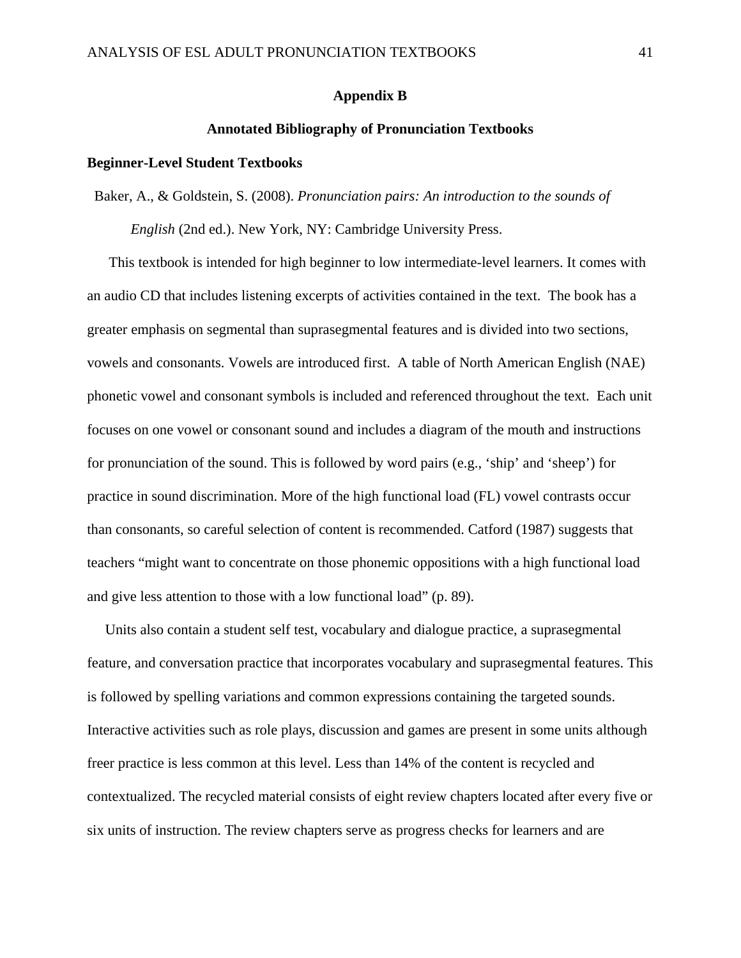### **Appendix B**

### **Annotated Bibliography of Pronunciation Textbooks**

### **Beginner-Level Student Textbooks**

Baker, A., & Goldstein, S. (2008). *Pronunciation pairs: An introduction to the sounds of* 

*English* (2nd ed.). New York, NY: Cambridge University Press.

 This textbook is intended for high beginner to low intermediate-level learners. It comes with an audio CD that includes listening excerpts of activities contained in the text. The book has a greater emphasis on segmental than suprasegmental features and is divided into two sections, vowels and consonants. Vowels are introduced first. A table of North American English (NAE) phonetic vowel and consonant symbols is included and referenced throughout the text. Each unit focuses on one vowel or consonant sound and includes a diagram of the mouth and instructions for pronunciation of the sound. This is followed by word pairs (e.g., 'ship' and 'sheep') for practice in sound discrimination. More of the high functional load (FL) vowel contrasts occur than consonants, so careful selection of content is recommended. Catford (1987) suggests that teachers "might want to concentrate on those phonemic oppositions with a high functional load and give less attention to those with a low functional load" (p. 89).

 Units also contain a student self test, vocabulary and dialogue practice, a suprasegmental feature, and conversation practice that incorporates vocabulary and suprasegmental features. This is followed by spelling variations and common expressions containing the targeted sounds. Interactive activities such as role plays, discussion and games are present in some units although freer practice is less common at this level. Less than 14% of the content is recycled and contextualized. The recycled material consists of eight review chapters located after every five or six units of instruction. The review chapters serve as progress checks for learners and are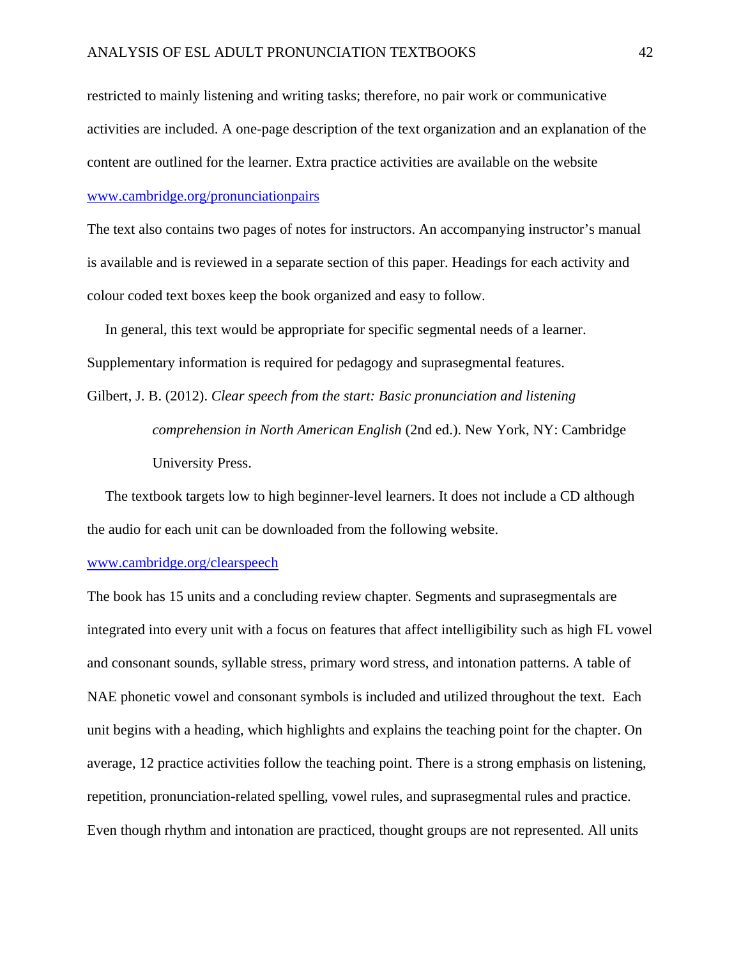restricted to mainly listening and writing tasks; therefore, no pair work or communicative activities are included. A one-page description of the text organization and an explanation of the content are outlined for the learner. Extra practice activities are available on the website www.cambridge.org/pronunciationpairs

The text also contains two pages of notes for instructors. An accompanying instructor's manual is available and is reviewed in a separate section of this paper. Headings for each activity and colour coded text boxes keep the book organized and easy to follow.

 In general, this text would be appropriate for specific segmental needs of a learner. Supplementary information is required for pedagogy and suprasegmental features.

Gilbert, J. B. (2012). *Clear speech from the start: Basic pronunciation and listening comprehension in North American English* (2nd ed.). New York, NY: Cambridge University Press.

 The textbook targets low to high beginner-level learners. It does not include a CD although the audio for each unit can be downloaded from the following website.

### www.cambridge.org/clearspeech

The book has 15 units and a concluding review chapter. Segments and suprasegmentals are integrated into every unit with a focus on features that affect intelligibility such as high FL vowel and consonant sounds, syllable stress, primary word stress, and intonation patterns. A table of NAE phonetic vowel and consonant symbols is included and utilized throughout the text. Each unit begins with a heading, which highlights and explains the teaching point for the chapter. On average, 12 practice activities follow the teaching point. There is a strong emphasis on listening, repetition, pronunciation-related spelling, vowel rules, and suprasegmental rules and practice. Even though rhythm and intonation are practiced, thought groups are not represented. All units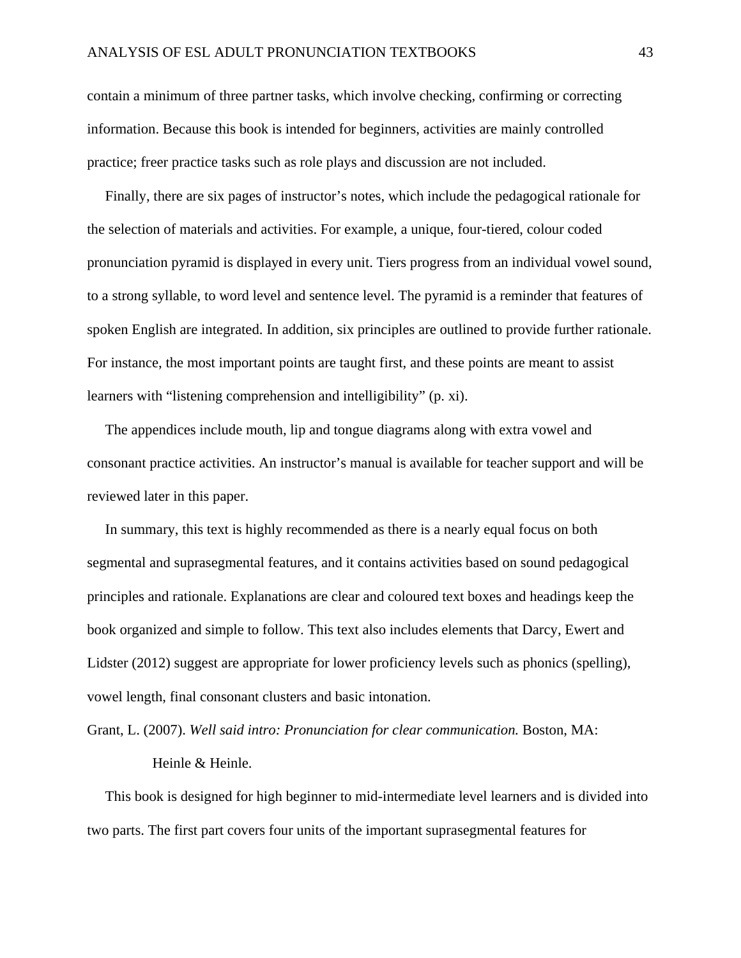contain a minimum of three partner tasks, which involve checking, confirming or correcting information. Because this book is intended for beginners, activities are mainly controlled practice; freer practice tasks such as role plays and discussion are not included.

 Finally, there are six pages of instructor's notes, which include the pedagogical rationale for the selection of materials and activities. For example, a unique, four-tiered, colour coded pronunciation pyramid is displayed in every unit. Tiers progress from an individual vowel sound, to a strong syllable, to word level and sentence level. The pyramid is a reminder that features of spoken English are integrated. In addition, six principles are outlined to provide further rationale. For instance, the most important points are taught first, and these points are meant to assist learners with "listening comprehension and intelligibility" (p. xi).

 The appendices include mouth, lip and tongue diagrams along with extra vowel and consonant practice activities. An instructor's manual is available for teacher support and will be reviewed later in this paper.

 In summary, this text is highly recommended as there is a nearly equal focus on both segmental and suprasegmental features, and it contains activities based on sound pedagogical principles and rationale. Explanations are clear and coloured text boxes and headings keep the book organized and simple to follow. This text also includes elements that Darcy, Ewert and Lidster (2012) suggest are appropriate for lower proficiency levels such as phonics (spelling), vowel length, final consonant clusters and basic intonation.

Grant, L. (2007). *Well said intro: Pronunciation for clear communication.* Boston, MA:

Heinle & Heinle.

 This book is designed for high beginner to mid-intermediate level learners and is divided into two parts. The first part covers four units of the important suprasegmental features for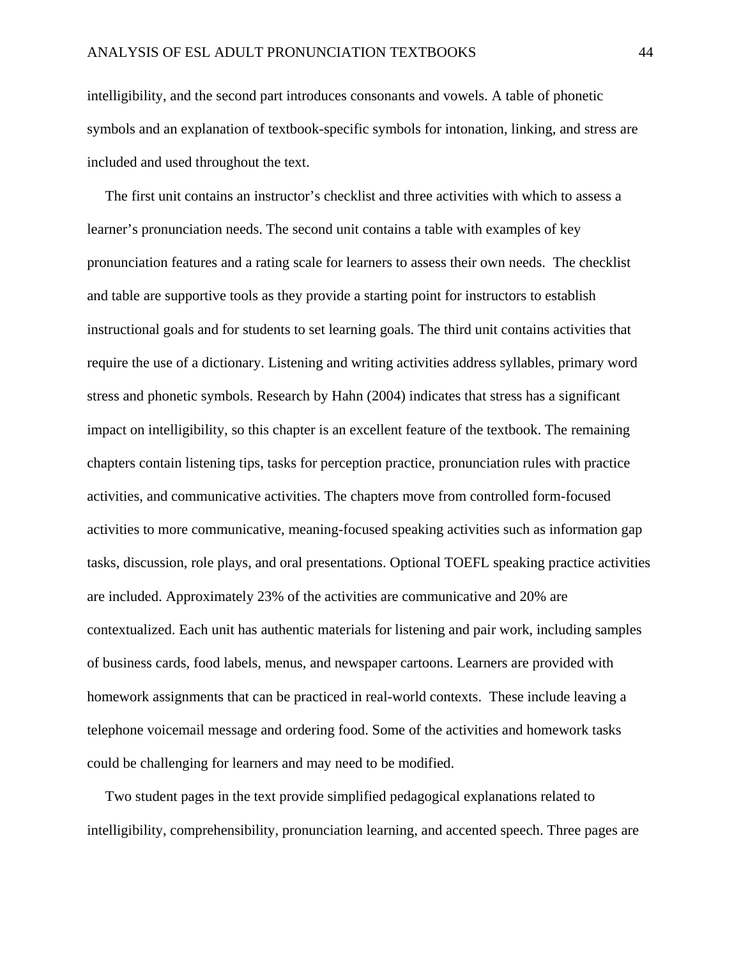intelligibility, and the second part introduces consonants and vowels. A table of phonetic symbols and an explanation of textbook-specific symbols for intonation, linking, and stress are included and used throughout the text.

 The first unit contains an instructor's checklist and three activities with which to assess a learner's pronunciation needs. The second unit contains a table with examples of key pronunciation features and a rating scale for learners to assess their own needs. The checklist and table are supportive tools as they provide a starting point for instructors to establish instructional goals and for students to set learning goals. The third unit contains activities that require the use of a dictionary. Listening and writing activities address syllables, primary word stress and phonetic symbols. Research by Hahn (2004) indicates that stress has a significant impact on intelligibility, so this chapter is an excellent feature of the textbook. The remaining chapters contain listening tips, tasks for perception practice, pronunciation rules with practice activities, and communicative activities. The chapters move from controlled form-focused activities to more communicative, meaning-focused speaking activities such as information gap tasks, discussion, role plays, and oral presentations. Optional TOEFL speaking practice activities are included. Approximately 23% of the activities are communicative and 20% are contextualized. Each unit has authentic materials for listening and pair work, including samples of business cards, food labels, menus, and newspaper cartoons. Learners are provided with homework assignments that can be practiced in real-world contexts. These include leaving a telephone voicemail message and ordering food. Some of the activities and homework tasks could be challenging for learners and may need to be modified.

 Two student pages in the text provide simplified pedagogical explanations related to intelligibility, comprehensibility, pronunciation learning, and accented speech. Three pages are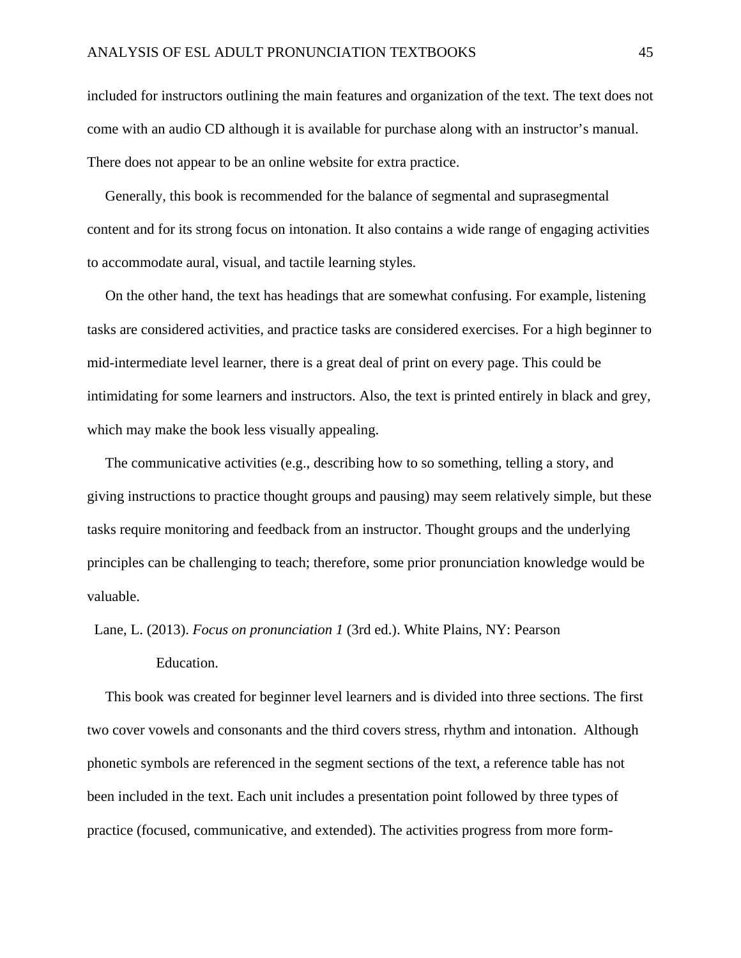included for instructors outlining the main features and organization of the text. The text does not come with an audio CD although it is available for purchase along with an instructor's manual. There does not appear to be an online website for extra practice.

 Generally, this book is recommended for the balance of segmental and suprasegmental content and for its strong focus on intonation. It also contains a wide range of engaging activities to accommodate aural, visual, and tactile learning styles.

 On the other hand, the text has headings that are somewhat confusing. For example, listening tasks are considered activities, and practice tasks are considered exercises. For a high beginner to mid-intermediate level learner, there is a great deal of print on every page. This could be intimidating for some learners and instructors. Also, the text is printed entirely in black and grey, which may make the book less visually appealing.

 The communicative activities (e.g., describing how to so something, telling a story, and giving instructions to practice thought groups and pausing) may seem relatively simple, but these tasks require monitoring and feedback from an instructor. Thought groups and the underlying principles can be challenging to teach; therefore, some prior pronunciation knowledge would be valuable.

Lane, L. (2013). *Focus on pronunciation 1* (3rd ed.). White Plains, NY: Pearson

### Education.

 This book was created for beginner level learners and is divided into three sections. The first two cover vowels and consonants and the third covers stress, rhythm and intonation. Although phonetic symbols are referenced in the segment sections of the text, a reference table has not been included in the text. Each unit includes a presentation point followed by three types of practice (focused, communicative, and extended). The activities progress from more form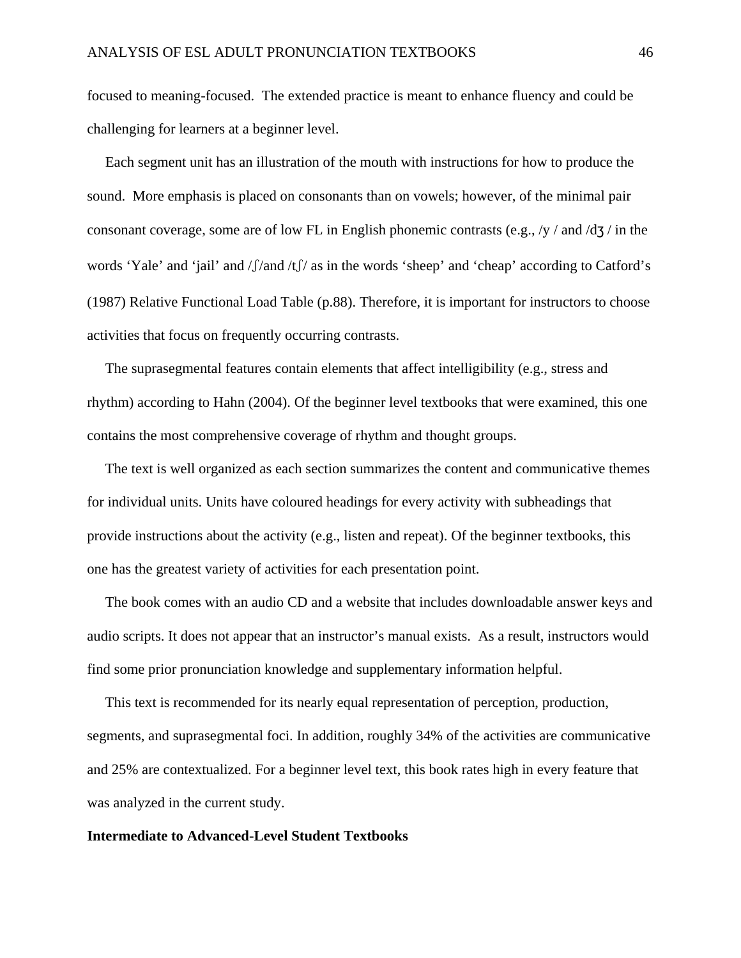focused to meaning-focused. The extended practice is meant to enhance fluency and could be challenging for learners at a beginner level.

 Each segment unit has an illustration of the mouth with instructions for how to produce the sound. More emphasis is placed on consonants than on vowels; however, of the minimal pair consonant coverage, some are of low FL in English phonemic contrasts (e.g., /y / and /dʒ / in the words 'Yale' and 'jail' and /ʃ/and /tʃ/ as in the words 'sheep' and 'cheap' according to Catford's (1987) Relative Functional Load Table (p.88). Therefore, it is important for instructors to choose activities that focus on frequently occurring contrasts.

 The suprasegmental features contain elements that affect intelligibility (e.g., stress and rhythm) according to Hahn (2004). Of the beginner level textbooks that were examined, this one contains the most comprehensive coverage of rhythm and thought groups.

 The text is well organized as each section summarizes the content and communicative themes for individual units. Units have coloured headings for every activity with subheadings that provide instructions about the activity (e.g., listen and repeat). Of the beginner textbooks, this one has the greatest variety of activities for each presentation point.

 The book comes with an audio CD and a website that includes downloadable answer keys and audio scripts. It does not appear that an instructor's manual exists. As a result, instructors would find some prior pronunciation knowledge and supplementary information helpful.

 This text is recommended for its nearly equal representation of perception, production, segments, and suprasegmental foci. In addition, roughly 34% of the activities are communicative and 25% are contextualized. For a beginner level text, this book rates high in every feature that was analyzed in the current study.

#### **Intermediate to Advanced-Level Student Textbooks**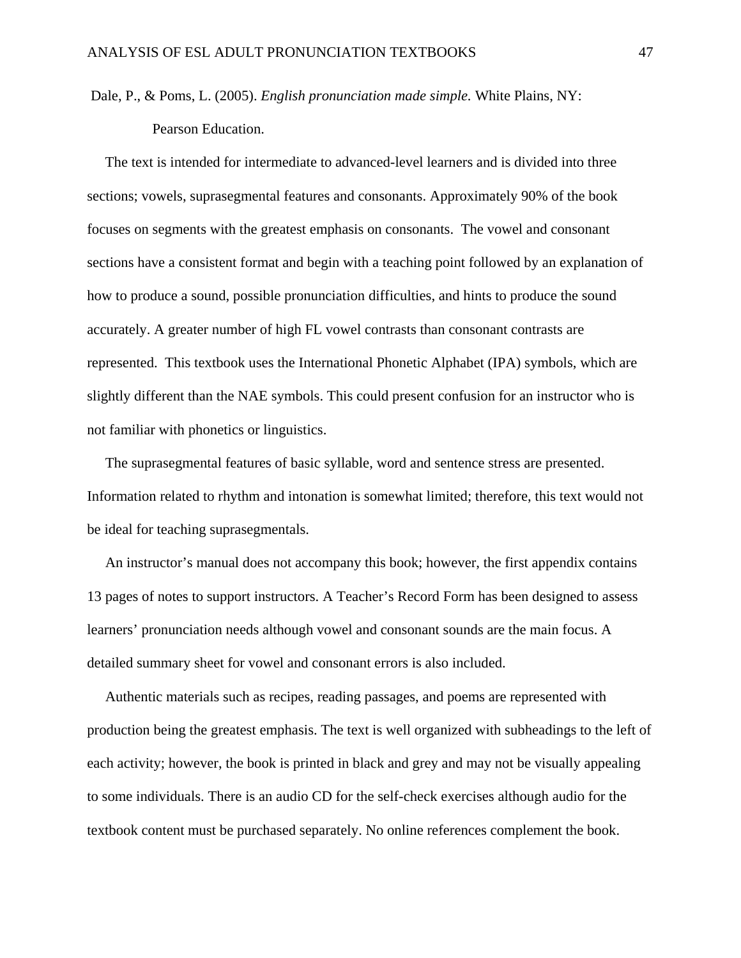Dale, P., & Poms, L. (2005). *English pronunciation made simple.* White Plains, NY: Pearson Education.

 The text is intended for intermediate to advanced-level learners and is divided into three sections; vowels, suprasegmental features and consonants. Approximately 90% of the book focuses on segments with the greatest emphasis on consonants. The vowel and consonant sections have a consistent format and begin with a teaching point followed by an explanation of how to produce a sound, possible pronunciation difficulties, and hints to produce the sound accurately. A greater number of high FL vowel contrasts than consonant contrasts are represented. This textbook uses the International Phonetic Alphabet (IPA) symbols, which are slightly different than the NAE symbols. This could present confusion for an instructor who is not familiar with phonetics or linguistics.

 The suprasegmental features of basic syllable, word and sentence stress are presented. Information related to rhythm and intonation is somewhat limited; therefore, this text would not be ideal for teaching suprasegmentals.

 An instructor's manual does not accompany this book; however, the first appendix contains 13 pages of notes to support instructors. A Teacher's Record Form has been designed to assess learners' pronunciation needs although vowel and consonant sounds are the main focus. A detailed summary sheet for vowel and consonant errors is also included.

 Authentic materials such as recipes, reading passages, and poems are represented with production being the greatest emphasis. The text is well organized with subheadings to the left of each activity; however, the book is printed in black and grey and may not be visually appealing to some individuals. There is an audio CD for the self-check exercises although audio for the textbook content must be purchased separately. No online references complement the book.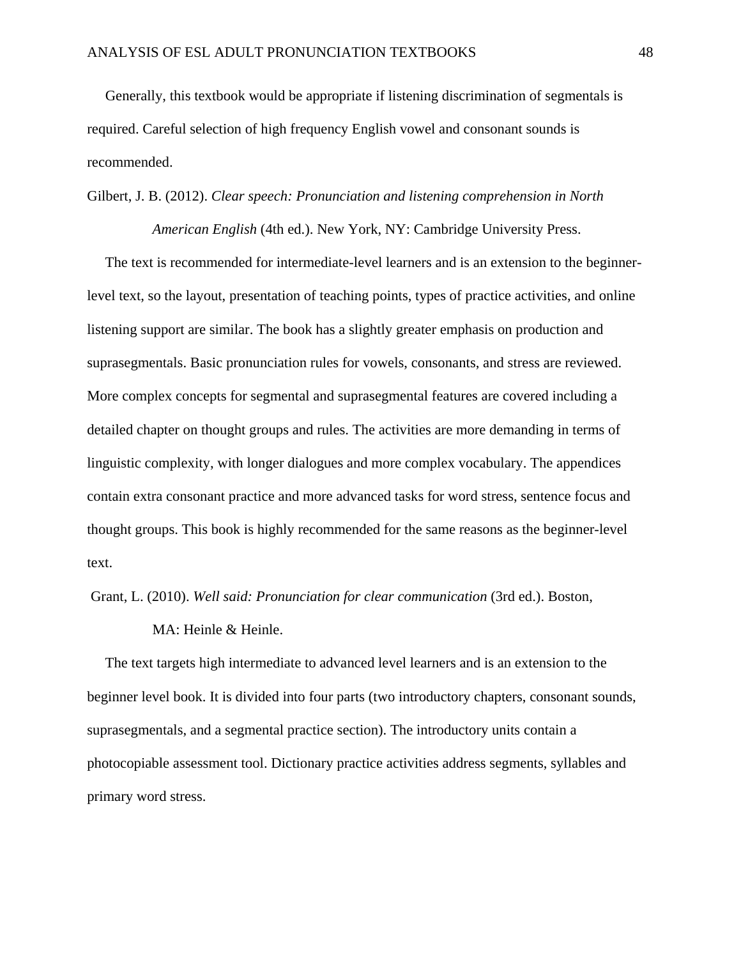Generally, this textbook would be appropriate if listening discrimination of segmentals is required. Careful selection of high frequency English vowel and consonant sounds is recommended.

### Gilbert, J. B. (2012). *Clear speech: Pronunciation and listening comprehension in North*

 *American English* (4th ed.). New York, NY: Cambridge University Press.

 The text is recommended for intermediate-level learners and is an extension to the beginnerlevel text, so the layout, presentation of teaching points, types of practice activities, and online listening support are similar. The book has a slightly greater emphasis on production and suprasegmentals. Basic pronunciation rules for vowels, consonants, and stress are reviewed. More complex concepts for segmental and suprasegmental features are covered including a detailed chapter on thought groups and rules. The activities are more demanding in terms of linguistic complexity, with longer dialogues and more complex vocabulary. The appendices contain extra consonant practice and more advanced tasks for word stress, sentence focus and thought groups. This book is highly recommended for the same reasons as the beginner-level text.

Grant, L. (2010). *Well said: Pronunciation for clear communication* (3rd ed.). Boston,

MA: Heinle & Heinle.

 The text targets high intermediate to advanced level learners and is an extension to the beginner level book. It is divided into four parts (two introductory chapters, consonant sounds, suprasegmentals, and a segmental practice section). The introductory units contain a photocopiable assessment tool. Dictionary practice activities address segments, syllables and primary word stress.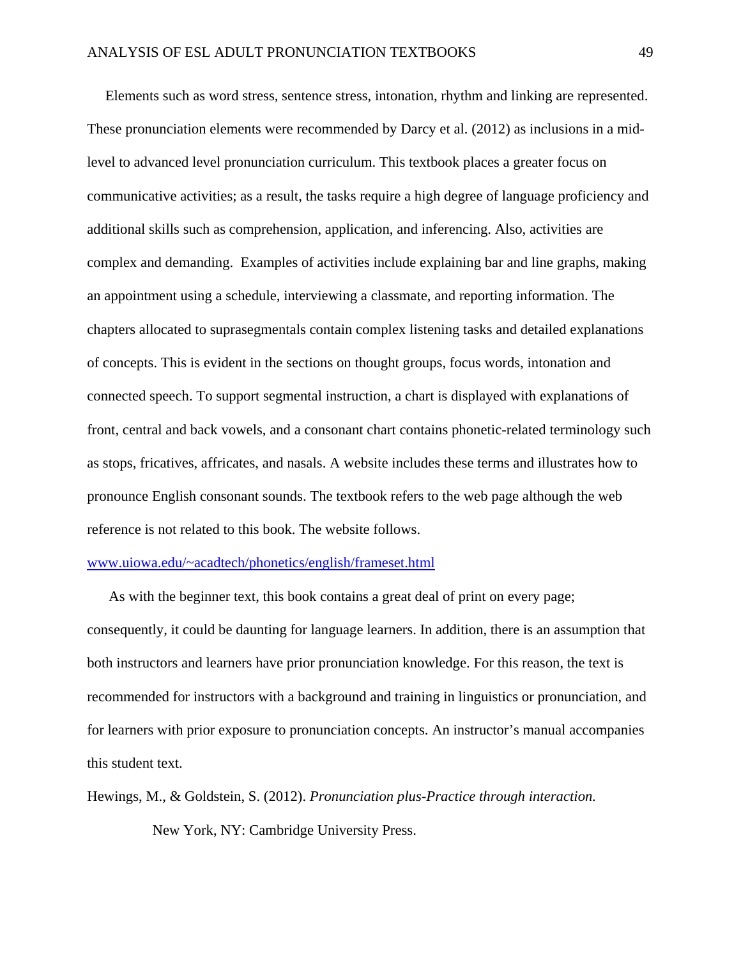Elements such as word stress, sentence stress, intonation, rhythm and linking are represented. These pronunciation elements were recommended by Darcy et al. (2012) as inclusions in a midlevel to advanced level pronunciation curriculum. This textbook places a greater focus on communicative activities; as a result, the tasks require a high degree of language proficiency and additional skills such as comprehension, application, and inferencing. Also, activities are complex and demanding. Examples of activities include explaining bar and line graphs, making an appointment using a schedule, interviewing a classmate, and reporting information. The chapters allocated to suprasegmentals contain complex listening tasks and detailed explanations of concepts. This is evident in the sections on thought groups, focus words, intonation and connected speech. To support segmental instruction, a chart is displayed with explanations of front, central and back vowels, and a consonant chart contains phonetic-related terminology such as stops, fricatives, affricates, and nasals. A website includes these terms and illustrates how to pronounce English consonant sounds. The textbook refers to the web page although the web reference is not related to this book. The website follows.

#### www.uiowa.edu/~acadtech/phonetics/english/frameset.html

 As with the beginner text, this book contains a great deal of print on every page; consequently, it could be daunting for language learners. In addition, there is an assumption that both instructors and learners have prior pronunciation knowledge. For this reason, the text is recommended for instructors with a background and training in linguistics or pronunciation, and for learners with prior exposure to pronunciation concepts. An instructor's manual accompanies this student text.

Hewings, M., & Goldstein, S. (2012). *Pronunciation plus-Practice through interaction.*  New York, NY: Cambridge University Press.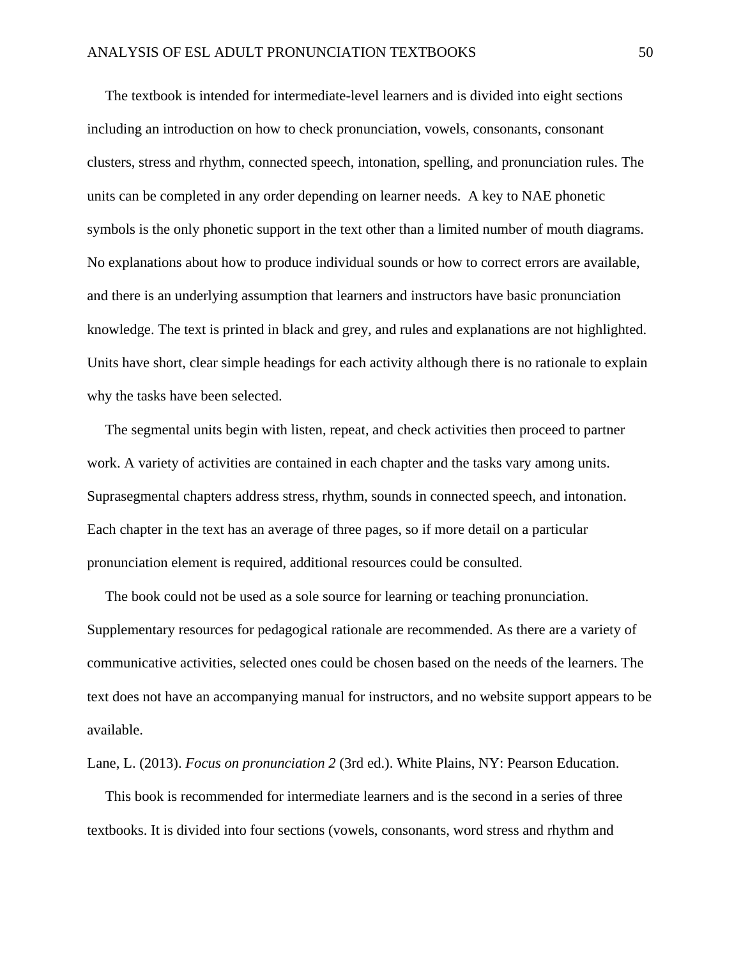The textbook is intended for intermediate-level learners and is divided into eight sections including an introduction on how to check pronunciation, vowels, consonants, consonant clusters, stress and rhythm, connected speech, intonation, spelling, and pronunciation rules. The units can be completed in any order depending on learner needs. A key to NAE phonetic symbols is the only phonetic support in the text other than a limited number of mouth diagrams. No explanations about how to produce individual sounds or how to correct errors are available, and there is an underlying assumption that learners and instructors have basic pronunciation knowledge. The text is printed in black and grey, and rules and explanations are not highlighted. Units have short, clear simple headings for each activity although there is no rationale to explain why the tasks have been selected.

 The segmental units begin with listen, repeat, and check activities then proceed to partner work. A variety of activities are contained in each chapter and the tasks vary among units. Suprasegmental chapters address stress, rhythm, sounds in connected speech, and intonation. Each chapter in the text has an average of three pages, so if more detail on a particular pronunciation element is required, additional resources could be consulted.

 The book could not be used as a sole source for learning or teaching pronunciation. Supplementary resources for pedagogical rationale are recommended. As there are a variety of communicative activities, selected ones could be chosen based on the needs of the learners. The text does not have an accompanying manual for instructors, and no website support appears to be available.

Lane, L. (2013). *Focus on pronunciation 2* (3rd ed.). White Plains, NY: Pearson Education.

 This book is recommended for intermediate learners and is the second in a series of three textbooks. It is divided into four sections (vowels, consonants, word stress and rhythm and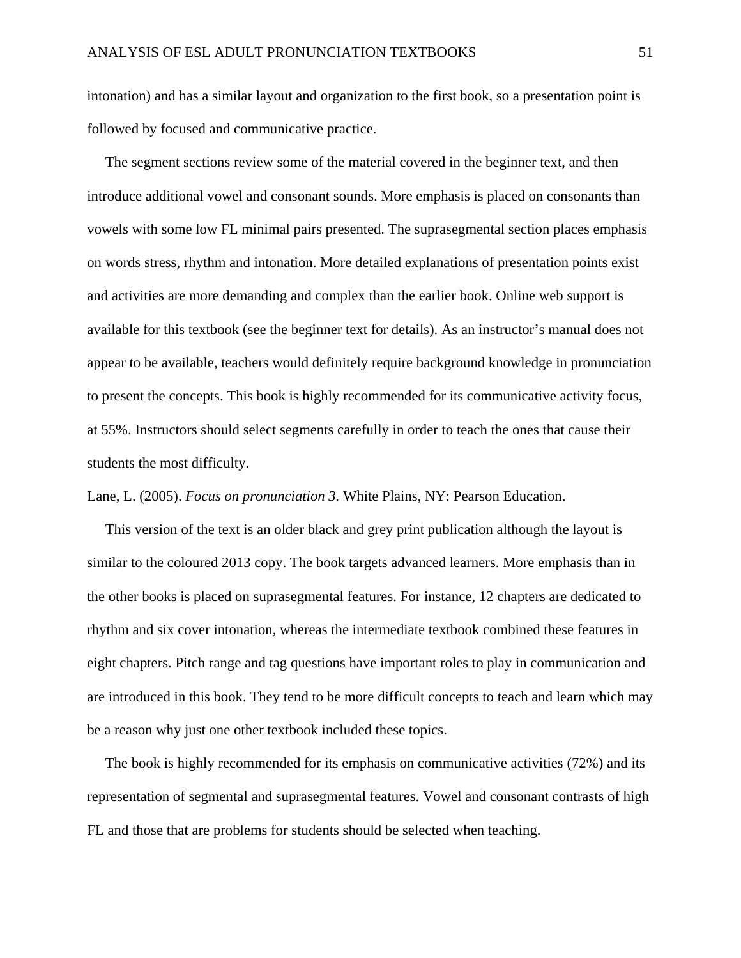intonation) and has a similar layout and organization to the first book, so a presentation point is followed by focused and communicative practice.

 The segment sections review some of the material covered in the beginner text, and then introduce additional vowel and consonant sounds. More emphasis is placed on consonants than vowels with some low FL minimal pairs presented. The suprasegmental section places emphasis on words stress, rhythm and intonation. More detailed explanations of presentation points exist and activities are more demanding and complex than the earlier book. Online web support is available for this textbook (see the beginner text for details). As an instructor's manual does not appear to be available, teachers would definitely require background knowledge in pronunciation to present the concepts. This book is highly recommended for its communicative activity focus, at 55%. Instructors should select segments carefully in order to teach the ones that cause their students the most difficulty.

Lane, L. (2005). *Focus on pronunciation 3.* White Plains, NY: Pearson Education.

 This version of the text is an older black and grey print publication although the layout is similar to the coloured 2013 copy. The book targets advanced learners. More emphasis than in the other books is placed on suprasegmental features. For instance, 12 chapters are dedicated to rhythm and six cover intonation, whereas the intermediate textbook combined these features in eight chapters. Pitch range and tag questions have important roles to play in communication and are introduced in this book. They tend to be more difficult concepts to teach and learn which may be a reason why just one other textbook included these topics.

 The book is highly recommended for its emphasis on communicative activities (72%) and its representation of segmental and suprasegmental features. Vowel and consonant contrasts of high FL and those that are problems for students should be selected when teaching.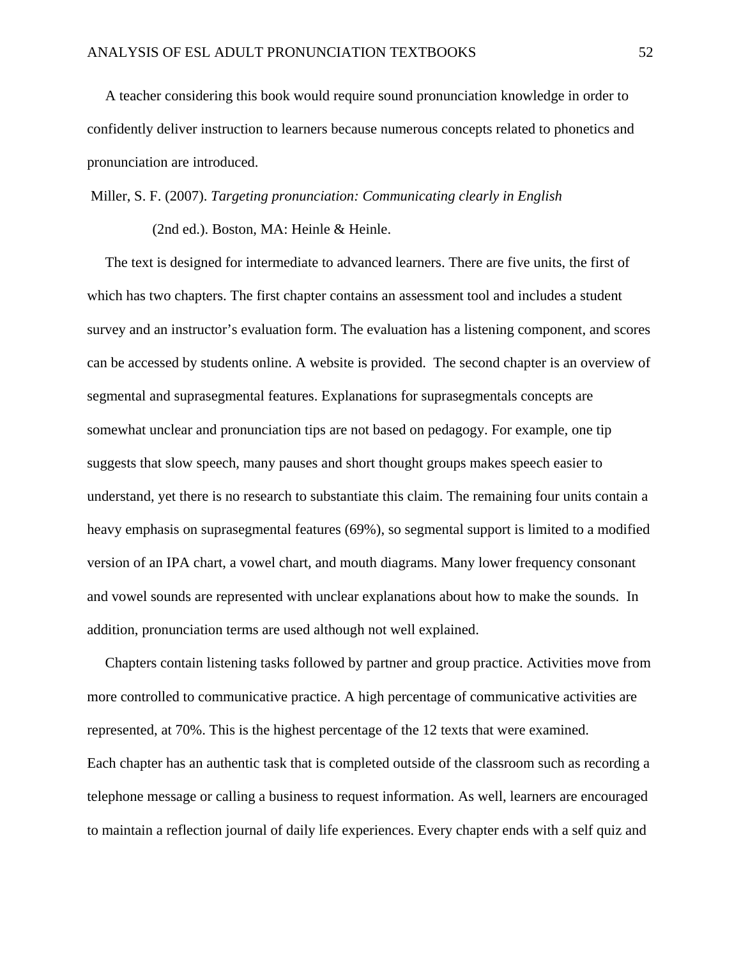A teacher considering this book would require sound pronunciation knowledge in order to confidently deliver instruction to learners because numerous concepts related to phonetics and pronunciation are introduced.

Miller, S. F. (2007). *Targeting pronunciation: Communicating clearly in English* 

(2nd ed.). Boston, MA: Heinle & Heinle.

 The text is designed for intermediate to advanced learners. There are five units, the first of which has two chapters. The first chapter contains an assessment tool and includes a student survey and an instructor's evaluation form. The evaluation has a listening component, and scores can be accessed by students online. A website is provided. The second chapter is an overview of segmental and suprasegmental features. Explanations for suprasegmentals concepts are somewhat unclear and pronunciation tips are not based on pedagogy. For example, one tip suggests that slow speech, many pauses and short thought groups makes speech easier to understand, yet there is no research to substantiate this claim. The remaining four units contain a heavy emphasis on suprasegmental features (69%), so segmental support is limited to a modified version of an IPA chart, a vowel chart, and mouth diagrams. Many lower frequency consonant and vowel sounds are represented with unclear explanations about how to make the sounds. In addition, pronunciation terms are used although not well explained.

 Chapters contain listening tasks followed by partner and group practice. Activities move from more controlled to communicative practice. A high percentage of communicative activities are represented, at 70%. This is the highest percentage of the 12 texts that were examined. Each chapter has an authentic task that is completed outside of the classroom such as recording a telephone message or calling a business to request information. As well, learners are encouraged to maintain a reflection journal of daily life experiences. Every chapter ends with a self quiz and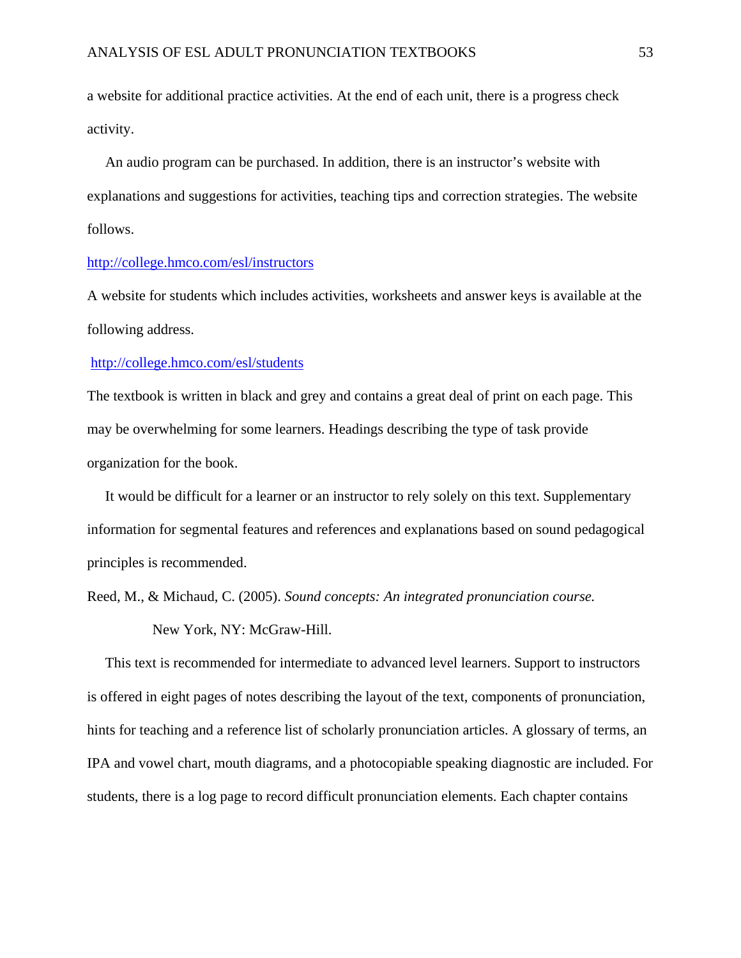a website for additional practice activities. At the end of each unit, there is a progress check activity.

 An audio program can be purchased. In addition, there is an instructor's website with explanations and suggestions for activities, teaching tips and correction strategies. The website follows.

### http://college.hmco.com/esl/instructors

A website for students which includes activities, worksheets and answer keys is available at the following address.

### http://college.hmco.com/esl/students

The textbook is written in black and grey and contains a great deal of print on each page. This may be overwhelming for some learners. Headings describing the type of task provide organization for the book.

 It would be difficult for a learner or an instructor to rely solely on this text. Supplementary information for segmental features and references and explanations based on sound pedagogical principles is recommended.

Reed, M., & Michaud, C. (2005). *Sound concepts: An integrated pronunciation course.* 

New York, NY: McGraw-Hill.

 This text is recommended for intermediate to advanced level learners. Support to instructors is offered in eight pages of notes describing the layout of the text, components of pronunciation, hints for teaching and a reference list of scholarly pronunciation articles. A glossary of terms, an IPA and vowel chart, mouth diagrams, and a photocopiable speaking diagnostic are included. For students, there is a log page to record difficult pronunciation elements. Each chapter contains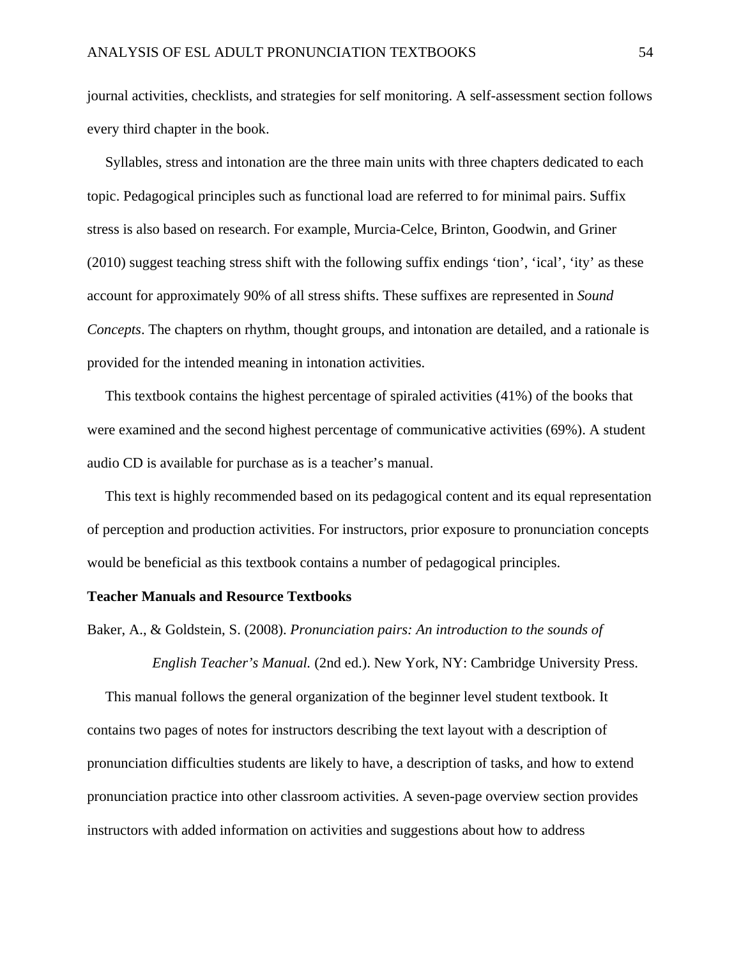journal activities, checklists, and strategies for self monitoring. A self-assessment section follows every third chapter in the book.

 Syllables, stress and intonation are the three main units with three chapters dedicated to each topic. Pedagogical principles such as functional load are referred to for minimal pairs. Suffix stress is also based on research. For example, Murcia-Celce, Brinton, Goodwin, and Griner (2010) suggest teaching stress shift with the following suffix endings 'tion', 'ical', 'ity' as these account for approximately 90% of all stress shifts. These suffixes are represented in *Sound Concepts*. The chapters on rhythm, thought groups, and intonation are detailed, and a rationale is provided for the intended meaning in intonation activities.

 This textbook contains the highest percentage of spiraled activities (41%) of the books that were examined and the second highest percentage of communicative activities (69%). A student audio CD is available for purchase as is a teacher's manual.

 This text is highly recommended based on its pedagogical content and its equal representation of perception and production activities. For instructors, prior exposure to pronunciation concepts would be beneficial as this textbook contains a number of pedagogical principles.

### **Teacher Manuals and Resource Textbooks**

Baker, A., & Goldstein, S. (2008). *Pronunciation pairs: An introduction to the sounds of* 

 *English Teacher's Manual.* (2nd ed.). New York, NY: Cambridge University Press.

 This manual follows the general organization of the beginner level student textbook. It contains two pages of notes for instructors describing the text layout with a description of pronunciation difficulties students are likely to have, a description of tasks, and how to extend pronunciation practice into other classroom activities. A seven-page overview section provides instructors with added information on activities and suggestions about how to address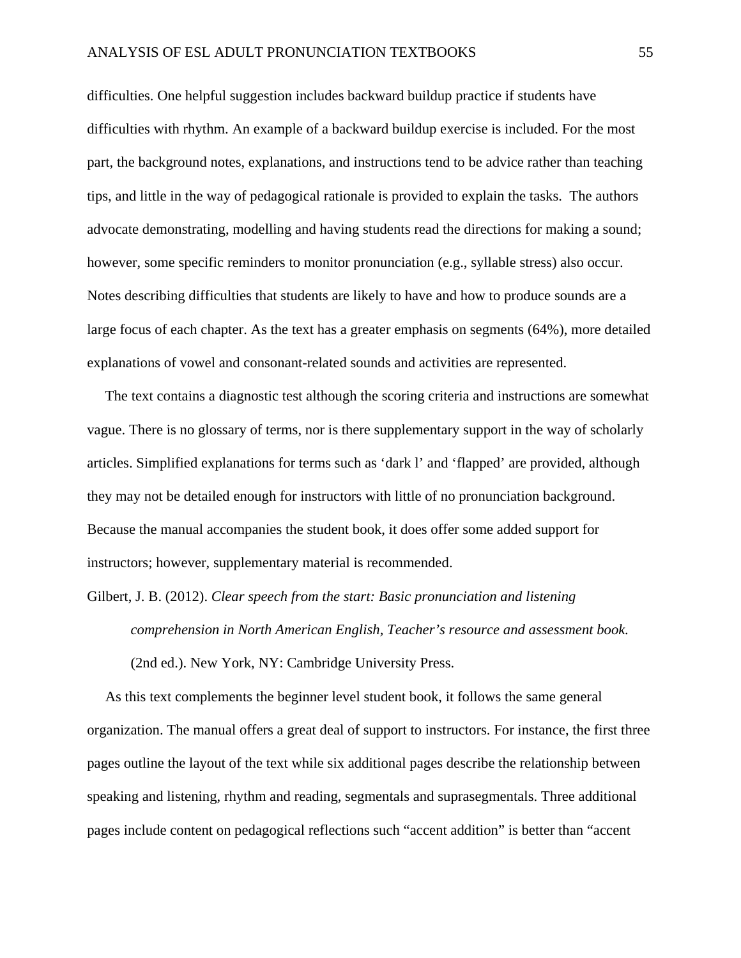difficulties. One helpful suggestion includes backward buildup practice if students have difficulties with rhythm. An example of a backward buildup exercise is included. For the most part, the background notes, explanations, and instructions tend to be advice rather than teaching tips, and little in the way of pedagogical rationale is provided to explain the tasks. The authors advocate demonstrating, modelling and having students read the directions for making a sound; however, some specific reminders to monitor pronunciation (e.g., syllable stress) also occur. Notes describing difficulties that students are likely to have and how to produce sounds are a large focus of each chapter. As the text has a greater emphasis on segments (64%), more detailed explanations of vowel and consonant-related sounds and activities are represented.

 The text contains a diagnostic test although the scoring criteria and instructions are somewhat vague. There is no glossary of terms, nor is there supplementary support in the way of scholarly articles. Simplified explanations for terms such as 'dark l' and 'flapped' are provided, although they may not be detailed enough for instructors with little of no pronunciation background. Because the manual accompanies the student book, it does offer some added support for instructors; however, supplementary material is recommended.

Gilbert, J. B. (2012). *Clear speech from the start: Basic pronunciation and listening comprehension in North American English, Teacher's resource and assessment book.*  (2nd ed.). New York, NY: Cambridge University Press.

 As this text complements the beginner level student book, it follows the same general organization. The manual offers a great deal of support to instructors. For instance, the first three pages outline the layout of the text while six additional pages describe the relationship between speaking and listening, rhythm and reading, segmentals and suprasegmentals. Three additional pages include content on pedagogical reflections such "accent addition" is better than "accent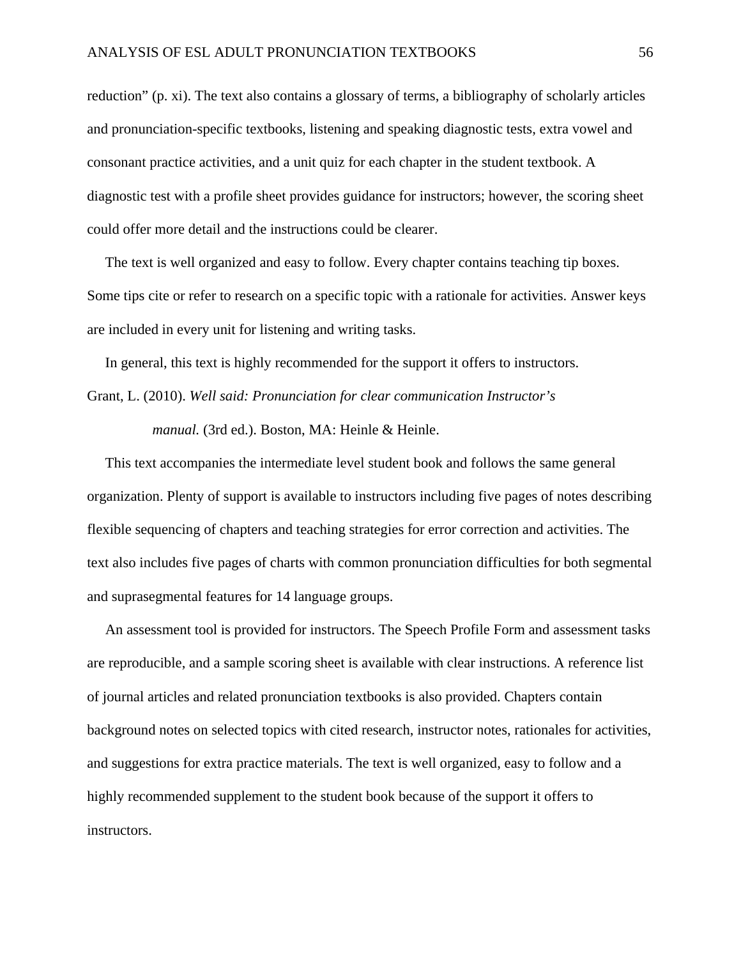reduction" (p. xi). The text also contains a glossary of terms, a bibliography of scholarly articles and pronunciation-specific textbooks, listening and speaking diagnostic tests, extra vowel and consonant practice activities, and a unit quiz for each chapter in the student textbook. A diagnostic test with a profile sheet provides guidance for instructors; however, the scoring sheet could offer more detail and the instructions could be clearer.

 The text is well organized and easy to follow. Every chapter contains teaching tip boxes. Some tips cite or refer to research on a specific topic with a rationale for activities. Answer keys are included in every unit for listening and writing tasks.

In general, this text is highly recommended for the support it offers to instructors.

Grant, L. (2010). *Well said: Pronunciation for clear communication Instructor's manual.* (3rd ed.). Boston, MA: Heinle & Heinle.

 This text accompanies the intermediate level student book and follows the same general organization. Plenty of support is available to instructors including five pages of notes describing flexible sequencing of chapters and teaching strategies for error correction and activities. The text also includes five pages of charts with common pronunciation difficulties for both segmental and suprasegmental features for 14 language groups.

 An assessment tool is provided for instructors. The Speech Profile Form and assessment tasks are reproducible, and a sample scoring sheet is available with clear instructions. A reference list of journal articles and related pronunciation textbooks is also provided. Chapters contain background notes on selected topics with cited research, instructor notes, rationales for activities, and suggestions for extra practice materials. The text is well organized, easy to follow and a highly recommended supplement to the student book because of the support it offers to instructors.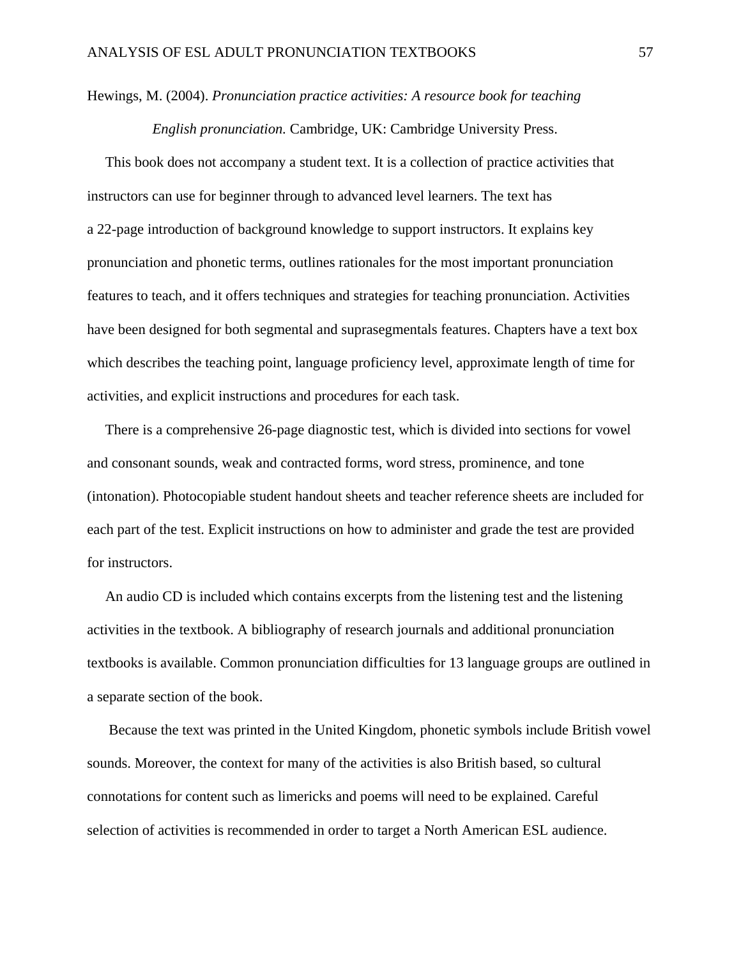### Hewings, M. (2004). *Pronunciation practice activities: A resource book for teaching*

 *English pronunciation.* Cambridge, UK: Cambridge University Press.

 This book does not accompany a student text. It is a collection of practice activities that instructors can use for beginner through to advanced level learners. The text has a 22-page introduction of background knowledge to support instructors. It explains key pronunciation and phonetic terms, outlines rationales for the most important pronunciation features to teach, and it offers techniques and strategies for teaching pronunciation. Activities have been designed for both segmental and suprasegmentals features. Chapters have a text box which describes the teaching point, language proficiency level, approximate length of time for activities, and explicit instructions and procedures for each task.

 There is a comprehensive 26-page diagnostic test, which is divided into sections for vowel and consonant sounds, weak and contracted forms, word stress, prominence, and tone (intonation). Photocopiable student handout sheets and teacher reference sheets are included for each part of the test. Explicit instructions on how to administer and grade the test are provided for instructors.

 An audio CD is included which contains excerpts from the listening test and the listening activities in the textbook. A bibliography of research journals and additional pronunciation textbooks is available. Common pronunciation difficulties for 13 language groups are outlined in a separate section of the book.

 Because the text was printed in the United Kingdom, phonetic symbols include British vowel sounds. Moreover, the context for many of the activities is also British based, so cultural connotations for content such as limericks and poems will need to be explained. Careful selection of activities is recommended in order to target a North American ESL audience.